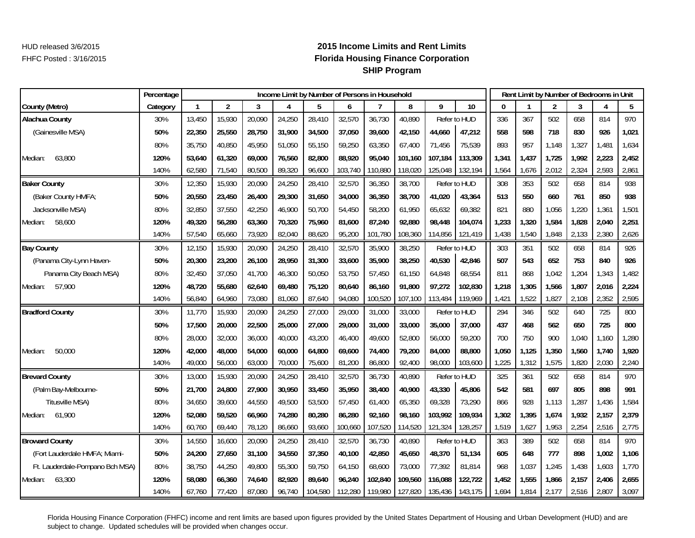# **2015 Income Limits and Rent Limits Florida Housing Finance Corporation SHIP Program**

|                                 | Percentage |              |        |        | Income Limit by Number of Persons in Household |         |         |         |         |         |              |       |       |                |       | Rent Limit by Number of Bedrooms in Unit |       |
|---------------------------------|------------|--------------|--------|--------|------------------------------------------------|---------|---------|---------|---------|---------|--------------|-------|-------|----------------|-------|------------------------------------------|-------|
| County (Metro)                  | Category   | $\mathbf{1}$ | 2      | 3      | 4                                              | 5       | 6       |         | 8       | 9       | 10           | 0     |       | $\overline{2}$ | 3     | 4                                        | 5     |
| <b>Alachua County</b>           | 30%        | 13,450       | 15,930 | 20,090 | 24,250                                         | 28,410  | 32,570  | 36,730  | 40,890  |         | Refer to HUD | 336   | 367   | 502            | 658   | 814                                      | 970   |
| (Gainesville MSA)               | 50%        | 22,350       | 25,550 | 28,750 | 31,900                                         | 34,500  | 37,050  | 39,600  | 42,150  | 44,660  | 47,212       | 558   | 598   | 718            | 830   | 926                                      | 1,021 |
|                                 | 80%        | 35,750       | 40,850 | 45,950 | 51,050                                         | 55,150  | 59,250  | 63,350  | 67,400  | 71,456  | 75,539       | 893   | 957   | 1,148          | 1,327 | 1,481                                    | 1,634 |
| Median:<br>63,800               | 120%       | 53,640       | 61,320 | 69,000 | 76,560                                         | 82,800  | 88,920  | 95,040  | 101.160 | 107.184 | 113,309      | 1,341 | 1.437 | 1,725          | 1,992 | 2,223                                    | 2,452 |
|                                 | 140%       | 62,580       | 71,540 | 80,500 | 89,320                                         | 96,600  | 103,740 | 110,880 | 118,020 | 125,048 | 132,194      | 1,564 | 1,676 | 2,012          | 2,324 | 2,593                                    | 2,861 |
| <b>Baker County</b>             | 30%        | 12,350       | 15,930 | 20,090 | 24,250                                         | 28,410  | 32,570  | 36,350  | 38,700  |         | Refer to HUD | 308   | 353   | 502            | 658   | 814                                      | 938   |
| (Baker County HMFA;             | 50%        | 20,550       | 23,450 | 26,400 | 29,300                                         | 31,650  | 34,000  | 36,350  | 38,700  | 41,020  | 43,364       | 513   | 550   | 660            | 761   | 850                                      | 938   |
| Jacksonville MSA)               | 80%        | 32,850       | 37,550 | 42,250 | 46,900                                         | 50,700  | 54,450  | 58,200  | 61,950  | 65,632  | 69,382       | 821   | 880   | 1,056          | 1,220 | 1,361                                    | 1,501 |
| 58,600<br>Median:               | 120%       | 49,320       | 56,280 | 63,360 | 70,320                                         | 75,960  | 81,600  | 87,240  | 92,880  | 98,448  | 104,074      | 1,233 | 1,320 | 1,584          | 1,828 | 2,040                                    | 2,251 |
|                                 | 140%       | 57,540       | 65,660 | 73,920 | 82,040                                         | 88,620  | 95,200  | 101,780 | 108,360 | 114,856 | 121,419      | 1,438 | 1,540 | 1,848          | 2,133 | 2,380                                    | 2,626 |
| <b>Bay County</b>               | 30%        | 12,150       | 15,930 | 20,090 | 24,250                                         | 28,410  | 32,570  | 35,900  | 38,250  |         | Refer to HUD | 303   | 351   | 502            | 658   | 814                                      | 926   |
| (Panama City-Lynn Haven-        | 50%        | 20,300       | 23,200 | 26,100 | 28,950                                         | 31,300  | 33,600  | 35,900  | 38,250  | 40,530  | 42,846       | 507   | 543   | 652            | 753   | 840                                      | 926   |
| Panama City Beach MSA)          | 80%        | 32,450       | 37,050 | 41.700 | 46,300                                         | 50,050  | 53,750  | 57,450  | 61,150  | 64,848  | 68,554       | 811   | 868   | 1,042          | 1,204 | 1,343                                    | 1,482 |
| 57,900<br>Median:               | 120%       | 48,720       | 55,680 | 62,640 | 69,480                                         | 75,120  | 80,640  | 86,160  | 91,800  | 97,272  | 102,830      | 1,218 | 1,305 | 1,566          | 1,807 | 2,016                                    | 2,224 |
|                                 | 140%       | 56,840       | 64,960 | 73,080 | 81,060                                         | 87,640  | 94,080  | 100,520 | 107,100 | 113,484 | 119,969      | 1,421 | 1,522 | 1,827          | 2,108 | 2,352                                    | 2,595 |
| <b>Bradford County</b>          | 30%        | 11,770       | 15,930 | 20,090 | 24,250                                         | 27,000  | 29,000  | 31,000  | 33,000  |         | Refer to HUD | 294   | 346   | 502            | 640   | 725                                      | 800   |
|                                 | 50%        | 17,500       | 20,000 | 22,500 | 25,000                                         | 27,000  | 29,000  | 31,000  | 33,000  | 35,000  | 37,000       | 437   | 468   | 562            | 650   | 725                                      | 800   |
|                                 | 80%        | 28,000       | 32,000 | 36,000 | 40,000                                         | 43,200  | 46,400  | 49,600  | 52,800  | 56,000  | 59,200       | 700   | 750   | 900            | 1,040 | 1,160                                    | 1,280 |
| 50,000<br>Median:               | 120%       | 42,000       | 48,000 | 54,000 | 60,000                                         | 64,800  | 69,600  | 74,400  | 79,200  | 84,000  | 88,800       | 1.050 | 1,125 | 1,350          | 1,560 | 1,740                                    | 1,920 |
|                                 | 140%       | 49,000       | 56,000 | 63,000 | 70,000                                         | 75,600  | 81,200  | 86,800  | 92,400  | 98,000  | 103,600      | 1,225 | 1,312 | 1,575          | 1,820 | 2,030                                    | 2,240 |
| <b>Brevard County</b>           | 30%        | 13,000       | 15,930 | 20,090 | 24,250                                         | 28,410  | 32,570  | 36,730  | 40,890  |         | Refer to HUD | 325   | 361   | 502            | 658   | 814                                      | 970   |
| (Palm Bay-Melbourne-            | 50%        | 21,700       | 24,800 | 27,900 | 30,950                                         | 33,450  | 35,950  | 38,400  | 40,900  | 43,330  | 45,806       | 542   | 581   | 697            | 805   | 898                                      | 991   |
| Titusville MSA)                 | 80%        | 34,650       | 39,600 | 44,550 | 49,500                                         | 53,500  | 57,450  | 61,400  | 65,350  | 69,328  | 73,290       | 866   | 928   | 1,113          | 1,287 | 1,436                                    | 1,584 |
| 61,900<br>Median:               | 120%       | 52,080       | 59,520 | 66,960 | 74,280                                         | 80,280  | 86,280  | 92,160  | 98,160  | 103,992 | 109,934      | 1,302 | 1,395 | 1,674          | 1,932 | 2,157                                    | 2,379 |
|                                 | 140%       | 60,760       | 69,440 | 78,120 | 86,660                                         | 93,660  | 100,660 | 107,520 | 114,520 | 121,324 | 128,257      | 1,519 | 1,627 | 1,953          | 2,254 | 2,516                                    | 2,775 |
| <b>Broward County</b>           | 30%        | 14,550       | 16,600 | 20,090 | 24,250                                         | 28,410  | 32,570  | 36,730  | 40,890  |         | Refer to HUD | 363   | 389   | 502            | 658   | 814                                      | 970   |
| (Fort Lauderdale HMFA; Miami-   | 50%        | 24,200       | 27,650 | 31,100 | 34,550                                         | 37,350  | 40,100  | 42,850  | 45,650  | 48,370  | 51,134       | 605   | 648   | 777            | 898   | 1,002                                    | 1,106 |
| Ft. Lauderdale-Pompano Bch MSA) | 80%        | 38,750       | 44,250 | 49,800 | 55,300                                         | 59,750  | 64,150  | 68,600  | 73,000  | 77,392  | 81,814       | 968   | 1,037 | 1,245          | 1,438 | 1,603                                    | 1,770 |
| 63,300<br>Median:               | 120%       | 58,080       | 66,360 | 74,640 | 82,920                                         | 89,640  | 96,240  | 102,840 | 109,560 | 116,088 | 122,722      | 1,452 | 1,555 | 1,866          | 2,157 | 2,406                                    | 2,655 |
|                                 | 140%       | 67,760       | 77,420 | 87,080 | 96,740                                         | 104,580 | 112,280 | 119,980 | 127,820 | 135,436 | 143,175      | 1,694 | 1,814 | 2,177          | 2,516 | 2,807                                    | 3,097 |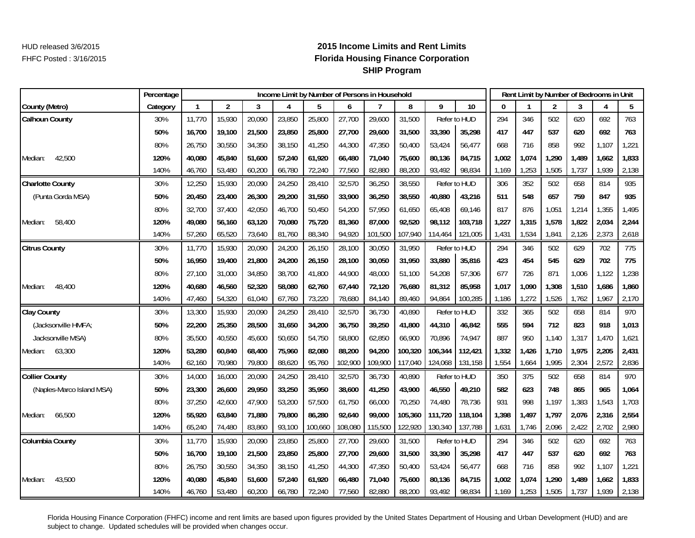# **2015 Income Limits and Rent Limits Florida Housing Finance Corporation SHIP Program**

|                           | Percentage |        |                |        |        | Income Limit by Number of Persons in Household |         |         |         |         |              |       |       |                |       | Rent Limit by Number of Bedrooms in Unit |       |
|---------------------------|------------|--------|----------------|--------|--------|------------------------------------------------|---------|---------|---------|---------|--------------|-------|-------|----------------|-------|------------------------------------------|-------|
| County (Metro)            | Category   | 1      | $\overline{2}$ | 3      | 4      | 5                                              | 6       |         | 8       | 9       | 10           | 0     |       | $\overline{2}$ | 3     | $\overline{4}$                           | 5     |
| <b>Calhoun County</b>     | 30%        | 11,770 | 15,930         | 20,090 | 23,850 | 25,800                                         | 27,700  | 29,600  | 31,500  |         | Refer to HUD | 294   | 346   | 502            | 620   | 692                                      | 763   |
|                           | 50%        | 16,700 | 19,100         | 21,500 | 23,850 | 25,800                                         | 27,700  | 29,600  | 31,500  | 33,390  | 35,298       | 417   | 447   | 537            | 620   | 692                                      | 763   |
|                           | 80%        | 26,750 | 30,550         | 34,350 | 38,150 | 41,250                                         | 44,300  | 47,350  | 50,400  | 53,424  | 56,477       | 668   | 716   | 858            | 992   | 1,107                                    | 1,221 |
| 42,500<br>Median:         | 120%       | 40,080 | 45,840         | 51,600 | 57,240 | 61,920                                         | 66,480  | 71,040  | 75,600  | 80,136  | 84,715       | 1,002 | 1,074 | 1,290          | 1.489 | 1,662                                    | 1,833 |
|                           | 140%       | 46,760 | 53,480         | 60,200 | 66,780 | 72,240                                         | 77,560  | 82,880  | 88,200  | 93,492  | 98,834       | 1,169 | 1,253 | 1,505          | 1,737 | 1,939                                    | 2,138 |
| <b>Charlotte County</b>   | 30%        | 12,250 | 15,930         | 20,090 | 24,250 | 28,410                                         | 32,570  | 36,250  | 38,550  |         | Refer to HUD | 306   | 352   | 502            | 658   | 814                                      | 935   |
| (Punta Gorda MSA)         | 50%        | 20,450 | 23,400         | 26,300 | 29,200 | 31,550                                         | 33,900  | 36,250  | 38,550  | 40,880  | 43,216       | 511   | 548   | 657            | 759   | 847                                      | 935   |
|                           | 80%        | 32,700 | 37,400         | 42,050 | 46,700 | 50,450                                         | 54,200  | 57,950  | 61,650  | 65,408  | 69,146       | 817   | 876   | 1,051          | 1,214 | 1,355                                    | 1,495 |
| 58,400<br>Median:         | 120%       | 49,080 | 56,160         | 63,120 | 70,080 | 75,720                                         | 81,360  | 87,000  | 92,520  | 98,112  | 103,718      | 1,227 | 1,315 | 1,578          | 1,822 | 2,034                                    | 2,244 |
|                           | 140%       | 57,260 | 65,520         | 73,640 | 81,760 | 88,340                                         | 94,920  | 101,500 | 107,940 | 114,464 | 121,005      | 1,431 | 1,534 | 1,841          | 2,126 | 2,373                                    | 2,618 |
| <b>Citrus County</b>      | 30%        | 11,770 | 15,930         | 20,090 | 24,200 | 26,150                                         | 28,100  | 30,050  | 31,950  |         | Refer to HUD | 294   | 346   | 502            | 629   | 702                                      | 775   |
|                           | 50%        | 16,950 | 19,400         | 21,800 | 24,200 | 26,150                                         | 28,100  | 30,050  | 31,950  | 33,880  | 35,816       | 423   | 454   | 545            | 629   | 702                                      | 775   |
|                           | 80%        | 27,100 | 31,000         | 34,850 | 38,700 | 41,800                                         | 44,900  | 48,000  | 51,100  | 54,208  | 57,306       | 677   | 726   | 871            | 1,006 | 1,122                                    | 1,238 |
| 48,400<br>Median:         | 120%       | 40,680 | 46,560         | 52,320 | 58,080 | 62,760                                         | 67,440  | 72,120  | 76,680  | 81,312  | 85,958       | 1,017 | 1,090 | 1,308          | 1,510 | 1,686                                    | 1,860 |
|                           | 140%       | 47,460 | 54,320         | 61,040 | 67,760 | 73,220                                         | 78,680  | 84,140  | 89,460  | 94,864  | 100,285      | 1,186 | 1,272 | 1,526          | 1,762 | 1,967                                    | 2,170 |
| <b>Clay County</b>        | 30%        | 13,300 | 15,930         | 20,090 | 24,250 | 28,410                                         | 32,570  | 36,730  | 40,890  |         | Refer to HUD | 332   | 365   | 502            | 658   | 814                                      | 970   |
| (Jacksonville HMFA;       | 50%        | 22,200 | 25,350         | 28,500 | 31,650 | 34,200                                         | 36,750  | 39,250  | 41,800  | 44,310  | 46,842       | 555   | 594   | 712            | 823   | 918                                      | 1,013 |
| Jacksonville MSA)         | 80%        | 35,500 | 40,550         | 45,600 | 50,650 | 54,750                                         | 58,800  | 62,850  | 66,900  | 70,896  | 74,947       | 887   | 950   | 1,140          | 1,317 | 1,470                                    | 1,621 |
| 63,300<br>Median:         | 120%       | 53,280 | 60,840         | 68,400 | 75,960 | 82,080                                         | 88,200  | 94,200  | 100,320 | 106,344 | 112,421      | 1,332 | 1,426 | 1,710          | 1,975 | 2,205                                    | 2,431 |
|                           | 140%       | 62,160 | 70,980         | 79,800 | 88,620 | 95,760                                         | 102,900 | 109,900 | 117,040 | 124,068 | 131,158      | 1,554 | 1,664 | 1,995          | 2,304 | 2,572                                    | 2,836 |
| <b>Collier County</b>     | 30%        | 14,000 | 16,000         | 20,090 | 24,250 | 28,410                                         | 32,570  | 36,730  | 40,890  |         | Refer to HUD | 350   | 375   | 502            | 658   | 814                                      | 970   |
| (Naples-Marco Island MSA) | 50%        | 23,300 | 26,600         | 29,950 | 33,250 | 35,950                                         | 38,600  | 41,250  | 43,900  | 46,550  | 49,210       | 582   | 623   | 748            | 865   | 965                                      | 1,064 |
|                           | 80%        | 37,250 | 42,600         | 47,900 | 53,200 | 57,500                                         | 61,750  | 66,000  | 70,250  | 74,480  | 78,736       | 931   | 998   | 1,197          | 1,383 | 1,543                                    | 1,703 |
| 66,500<br>Median:         | 120%       | 55,920 | 63,840         | 71,880 | 79,800 | 86,280                                         | 92,640  | 99,000  | 105,360 | 111,720 | 118,104      | 1,398 | 1,497 | 1,797          | 2,076 | 2,316                                    | 2,554 |
|                           | 140%       | 65,240 | 74,480         | 83,860 | 93,100 | 100,660                                        | 108,080 | 115,500 | 122,920 | 130,340 | 137,788      | 1,631 | 1,746 | 2,096          | 2,422 | 2,702                                    | 2,980 |
| Columbia County           | 30%        | 11,770 | 15,930         | 20,090 | 23,850 | 25,800                                         | 27,700  | 29,600  | 31,500  |         | Refer to HUD | 294   | 346   | 502            | 620   | 692                                      | 763   |
|                           | 50%        | 16,700 | 19,100         | 21,500 | 23,850 | 25,800                                         | 27,700  | 29,600  | 31,500  | 33,390  | 35,298       | 417   | 447   | 537            | 620   | 692                                      | 763   |
|                           | 80%        | 26,750 | 30,550         | 34,350 | 38,150 | 41,250                                         | 44,300  | 47,350  | 50,400  | 53,424  | 56,477       | 668   | 716   | 858            | 992   | 1,107                                    | 1,221 |
| 43,500<br>Median:         | 120%       | 40,080 | 45,840         | 51,600 | 57,240 | 61,920                                         | 66,480  | 71,040  | 75,600  | 80,136  | 84,715       | 1,002 | 1,074 | 1,290          | 1,489 | 1,662                                    | 1,833 |
|                           | 140%       | 46,760 | 53,480         | 60,200 | 66,780 | 72,240                                         | 77,560  | 82,880  | 88,200  | 93,492  | 98,834       | 1,169 | 1,253 | 1,505          | 1,737 | 1,939                                    | 2,138 |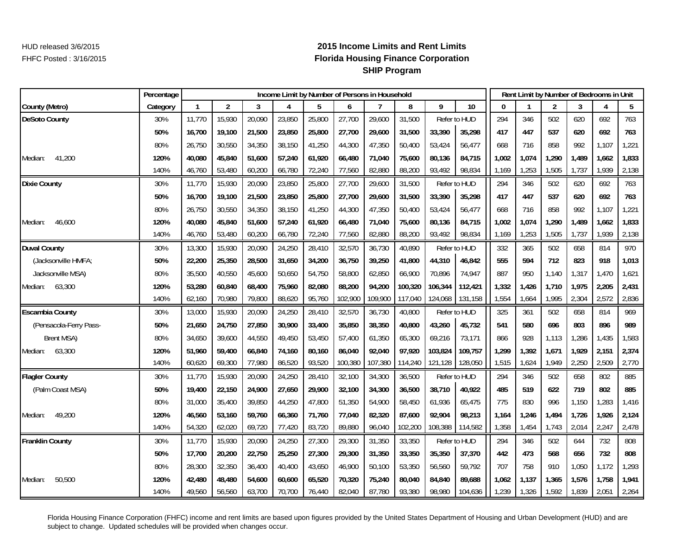# **2015 Income Limits and Rent Limits Florida Housing Finance Corporation SHIP Program**

|                        | Percentage |        |                |        |        |        | Rent Limit by Number of Bedrooms in Unit |         |         |         |              |       |       |                |       |                |       |
|------------------------|------------|--------|----------------|--------|--------|--------|------------------------------------------|---------|---------|---------|--------------|-------|-------|----------------|-------|----------------|-------|
| County (Metro)         | Category   | 1      | $\overline{2}$ | 3      | 4      | 5      | 6                                        |         | 8       | 9       | 10           | 0     |       | $\overline{2}$ | 3     | $\overline{4}$ | 5     |
| <b>DeSoto County</b>   | 30%        | 11,770 | 15,930         | 20,090 | 23,850 | 25,800 | 27,700                                   | 29,600  | 31,500  |         | Refer to HUD | 294   | 346   | 502            | 620   | 692            | 763   |
|                        | 50%        | 16,700 | 19,100         | 21,500 | 23,850 | 25,800 | 27,700                                   | 29,600  | 31,500  | 33,390  | 35,298       | 417   | 447   | 537            | 620   | 692            | 763   |
|                        | 80%        | 26,750 | 30,550         | 34,350 | 38,150 | 41,250 | 44,300                                   | 47,350  | 50,400  | 53,424  | 56,477       | 668   | 716   | 858            | 992   | 1,107          | 1,221 |
| 41,200<br>Median:      | 120%       | 40,080 | 45,840         | 51,600 | 57,240 | 61,920 | 66,480                                   | 71,040  | 75,600  | 80,136  | 84,715       | 1,002 | 1,074 | 1,290          | 1.489 | 1,662          | 1,833 |
|                        | 140%       | 46,760 | 53,480         | 60,200 | 66,780 | 72,240 | 77,560                                   | 82,880  | 88,200  | 93,492  | 98,834       | 1,169 | 1,253 | 1,505          | 1,737 | 1,939          | 2,138 |
| <b>Dixie County</b>    | 30%        | 11,770 | 15,930         | 20,090 | 23,850 | 25,800 | 27,700                                   | 29,600  | 31,500  |         | Refer to HUD | 294   | 346   | 502            | 620   | 692            | 763   |
|                        | 50%        | 16,700 | 19,100         | 21,500 | 23,850 | 25,800 | 27,700                                   | 29,600  | 31,500  | 33,390  | 35,298       | 417   | 447   | 537            | 620   | 692            | 763   |
|                        | 80%        | 26,750 | 30,550         | 34,350 | 38,150 | 41,250 | 44,300                                   | 47,350  | 50,400  | 53,424  | 56,477       | 668   | 716   | 858            | 992   | 1,107          | 1,221 |
| 46,600<br>Median:      | 120%       | 40,080 | 45,840         | 51,600 | 57,240 | 61,920 | 66,480                                   | 71,040  | 75,600  | 80,136  | 84,715       | 1,002 | 1,074 | 1,290          | 1,489 | 1,662          | 1,833 |
|                        | 140%       | 46,760 | 53,480         | 60,200 | 66,780 | 72,240 | 77,560                                   | 82,880  | 88,200  | 93,492  | 98,834       | 1,169 | 1,253 | 1,505          | 1,737 | 1,939          | 2,138 |
| <b>Duval County</b>    | 30%        | 13,300 | 15,930         | 20,090 | 24,250 | 28,410 | 32,570                                   | 36,730  | 40,890  |         | Refer to HUD | 332   | 365   | 502            | 658   | 814            | 970   |
| (Jacksonville HMFA;    | 50%        | 22,200 | 25,350         | 28,500 | 31,650 | 34,200 | 36,750                                   | 39,250  | 41,800  | 44,310  | 46,842       | 555   | 594   | 712            | 823   | 918            | 1,013 |
| Jacksonville MSA)      | 80%        | 35,500 | 40,550         | 45,600 | 50,650 | 54,750 | 58,800                                   | 62,850  | 66,900  | 70,896  | 74,947       | 887   | 950   | 1,140          | 1,317 | 1,470          | 1,621 |
| 63,300<br>Median:      | 120%       | 53,280 | 60,840         | 68,400 | 75,960 | 82,080 | 88,200                                   | 94,200  | 100,320 | 106,344 | 112,421      | 1,332 | 1,426 | 1,710          | 1,975 | 2,205          | 2,431 |
|                        | 140%       | 62,160 | 70,980         | 79,800 | 88,620 | 95,760 | 102,900                                  | 109,900 | 117,040 | 124,068 | 131,158      | 1,554 | 1,664 | 1,995          | 2,304 | 2,572          | 2,836 |
| <b>Escambia County</b> | 30%        | 13,000 | 15,930         | 20,090 | 24,250 | 28,410 | 32,570                                   | 36,730  | 40,800  |         | Refer to HUD | 325   | 361   | 502            | 658   | 814            | 969   |
| (Pensacola-Ferry Pass- | 50%        | 21,650 | 24,750         | 27,850 | 30,900 | 33,400 | 35,850                                   | 38,350  | 40,800  | 43,260  | 45,732       | 541   | 580   | 696            | 803   | 896            | 989   |
| <b>Brent MSA)</b>      | 80%        | 34,650 | 39,600         | 44,550 | 49,450 | 53,450 | 57,400                                   | 61,350  | 65,300  | 69,216  | 73,171       | 866   | 928   | 1,113          | 1,286 | 1,435          | 1,583 |
| 63,300<br>Median:      | 120%       | 51,960 | 59,400         | 66,840 | 74,160 | 80,160 | 86,040                                   | 92,040  | 97,920  | 103,824 | 109,757      | 1,299 | 1,392 | 1,671          | 1,929 | 2,151          | 2,374 |
|                        | 140%       | 60,620 | 69,300         | 77,980 | 86,520 | 93,520 | 100,380                                  | 107,380 | 114,240 | 121,128 | 128,050      | 1,515 | 1,624 | 1,949          | 2,250 | 2,509          | 2,770 |
| <b>Flagler County</b>  | 30%        | 11,770 | 15,930         | 20,090 | 24,250 | 28,410 | 32,100                                   | 34,300  | 36,500  |         | Refer to HUD | 294   | 346   | 502            | 658   | 802            | 885   |
| (Palm Coast MSA)       | 50%        | 19,400 | 22,150         | 24,900 | 27,650 | 29,900 | 32,100                                   | 34,300  | 36,500  | 38,710  | 40,922       | 485   | 519   | 622            | 719   | 802            | 885   |
|                        | 80%        | 31,000 | 35,400         | 39,850 | 44,250 | 47,800 | 51,350                                   | 54,900  | 58,450  | 61,936  | 65,475       | 775   | 830   | 996            | 1,150 | 1,283          | 1,416 |
| 49,200<br>Median:      | 120%       | 46,560 | 53,160         | 59,760 | 66,360 | 71,760 | 77,040                                   | 82,320  | 87,600  | 92,904  | 98,213       | 1,164 | 1,246 | 1,494          | 1,726 | 1,926          | 2,124 |
|                        | 140%       | 54,320 | 62,020         | 69,720 | 77,420 | 83,720 | 89,880                                   | 96,040  | 102,200 | 108,388 | 114,582      | 1,358 | 1,454 | 1,743          | 2,014 | 2,247          | 2,478 |
| <b>Franklin County</b> | 30%        | 11,770 | 15,930         | 20,090 | 24,250 | 27,300 | 29,300                                   | 31,350  | 33,350  |         | Refer to HUD | 294   | 346   | 502            | 644   | 732            | 808   |
|                        | 50%        | 17,700 | 20,200         | 22,750 | 25,250 | 27,300 | 29,300                                   | 31,350  | 33,350  | 35,350  | 37,370       | 442   | 473   | 568            | 656   | 732            | 808   |
|                        | 80%        | 28,300 | 32,350         | 36,400 | 40,400 | 43,650 | 46,900                                   | 50,100  | 53,350  | 56,560  | 59,792       | 707   | 758   | 910            | 1,050 | 1,172          | 1,293 |
| 50,500<br>Median:      | 120%       | 42,480 | 48,480         | 54,600 | 60,600 | 65,520 | 70,320                                   | 75,240  | 80,040  | 84,840  | 89,688       | 1,062 | 1,137 | 1,365          | 1,576 | 1,758          | 1,941 |
|                        | 140%       | 49,560 | 56,560         | 63,700 | 70,700 | 76,440 | 82,040                                   | 87,780  | 93,380  | 98,980  | 104,636      | 1,239 | 1,326 | 1,592          | 1,839 | 2,051          | 2,264 |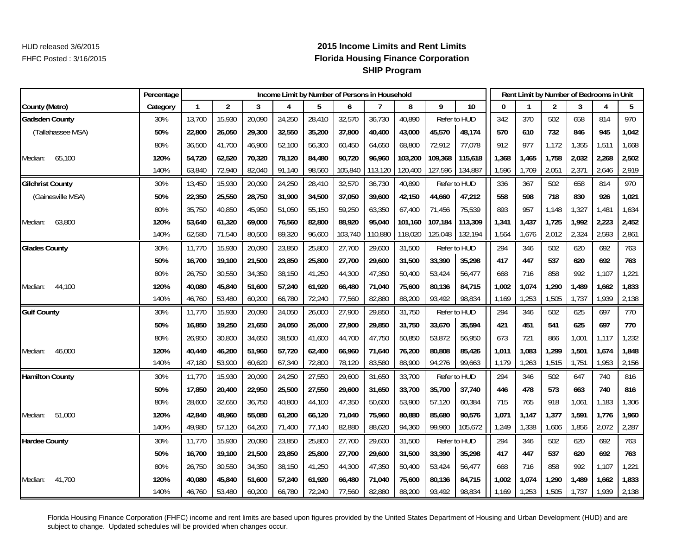# **2015 Income Limits and Rent Limits Florida Housing Finance Corporation SHIP Program**

|                         | Percentage |              |                |        | Income Limit by Number of Persons in Household |        |         |         |         |         |              |              |       | Rent Limit by Number of Bedrooms in Unit |       |       |       |
|-------------------------|------------|--------------|----------------|--------|------------------------------------------------|--------|---------|---------|---------|---------|--------------|--------------|-------|------------------------------------------|-------|-------|-------|
| County (Metro)          | Category   | $\mathbf{1}$ | $\overline{2}$ | 3      | 4                                              |        | 6       | 7       | 8       | 9       | 10           | $\mathbf{0}$ |       | $\overline{2}$                           | 3     | 4     | 5     |
| <b>Gadsden County</b>   | 30%        | 13,700       | 15,930         | 20,090 | 24,250                                         | 28,410 | 32,570  | 36,730  | 40,890  |         | Refer to HUD | 342          | 370   | 502                                      | 658   | 814   | 970   |
| (Tallahassee MSA)       | 50%        | 22,800       | 26,050         | 29,300 | 32,550                                         | 35,200 | 37,800  | 40,400  | 43,000  | 45,570  | 48,174       | 570          | 610   | 732                                      | 846   | 945   | 1,042 |
|                         | 80%        | 36,500       | 41,700         | 46,900 | 52,100                                         | 56,300 | 60,450  | 64,650  | 68,800  | 72,912  | 77,078       | 912          | 977   | 1,172                                    | 1,355 | 1,511 | 1,668 |
| 65,100<br>Median:       | 120%       | 54,720       | 62,520         | 70,320 | 78,120                                         | 84,480 | 90,720  | 96,960  | 103,200 | 109,368 | 115,618      | 1,368        | 1.465 | 1,758                                    | 2,032 | 2,268 | 2,502 |
|                         | 140%       | 63,840       | 72,940         | 82,040 | 91,140                                         | 98,560 | 105,840 | 113,120 | 120,400 | 127,596 | 134,887      | 1,596        | 1,709 | 2,051                                    | 2,371 | 2,646 | 2,919 |
| <b>Gilchrist County</b> | 30%        | 13,450       | 15,930         | 20,090 | 24,250                                         | 28,410 | 32,570  | 36,730  | 40,890  |         | Refer to HUD | 336          | 367   | 502                                      | 658   | 814   | 970   |
| (Gainesville MSA)       | 50%        | 22,350       | 25,550         | 28,750 | 31,900                                         | 34,500 | 37,050  | 39,600  | 42,150  | 44,660  | 47,212       | 558          | 598   | 718                                      | 830   | 926   | 1,021 |
|                         | 80%        | 35,750       | 40,850         | 45,950 | 51,050                                         | 55,150 | 59,250  | 63,350  | 67,400  | 71,456  | 75,539       | 893          | 957   | 1,148                                    | 1,327 | 1,481 | 1,634 |
| 63,800<br>Median:       | 120%       | 53,640       | 61,320         | 69,000 | 76,560                                         | 82,800 | 88,920  | 95,040  | 101,160 | 107.184 | 113,309      | 1,341        | 1,437 | 1,725                                    | 1,992 | 2,223 | 2,452 |
|                         | 140%       | 62,580       | 71,540         | 80,500 | 89,320                                         | 96,600 | 103,740 | 110,880 | 118,020 | 125,048 | 132,194      | 1,564        | 1,676 | 2,012                                    | 2,324 | 2,593 | 2,861 |
| <b>Glades County</b>    | 30%        | 11,770       | 15,930         | 20,090 | 23,850                                         | 25,800 | 27,700  | 29,600  | 31,500  |         | Refer to HUD | 294          | 346   | 502                                      | 620   | 692   | 763   |
|                         | 50%        | 16,700       | 19,100         | 21,500 | 23,850                                         | 25,800 | 27,700  | 29,600  | 31,500  | 33,390  | 35,298       | 417          | 447   | 537                                      | 620   | 692   | 763   |
|                         | 80%        | 26,750       | 30,550         | 34,350 | 38,150                                         | 41,250 | 44,300  | 47,350  | 50,400  | 53,424  | 56,477       | 668          | 716   | 858                                      | 992   | 1,107 | 1,221 |
| 44,100<br>Median:       | 120%       | 40,080       | 45,840         | 51,600 | 57,240                                         | 61,920 | 66,480  | 71,040  | 75,600  | 80,136  | 84,715       | 1.002        | 1,074 | 1,290                                    | 1,489 | 1,662 | 1,833 |
|                         | 140%       | 46,760       | 53,480         | 60,200 | 66,780                                         | 72,240 | 77,560  | 82,880  | 88,200  | 93,492  | 98,834       | 1,169        | 1,253 | 1,505                                    | 1,737 | 1,939 | 2,138 |
| <b>Gulf County</b>      | 30%        | 11,770       | 15,930         | 20,090 | 24,050                                         | 26,000 | 27,900  | 29,850  | 31,750  |         | Refer to HUD | 294          | 346   | 502                                      | 625   | 697   | 770   |
|                         | 50%        | 16,850       | 19,250         | 21,650 | 24,050                                         | 26,000 | 27,900  | 29,850  | 31,750  | 33,670  | 35,594       | 421          | 451   | 541                                      | 625   | 697   | 770   |
|                         | 80%        | 26,950       | 30,800         | 34,650 | 38,500                                         | 41,600 | 44,700  | 47,750  | 50,850  | 53,872  | 56,950       | 673          | 721   | 866                                      | 1,001 | 1,117 | 1,232 |
| Median:<br>46,000       | 120%       | 40,440       | 46,200         | 51,960 | 57,720                                         | 62,400 | 66,960  | 71,640  | 76,200  | 80,808  | 85,426       | 1,011        | 1,083 | 1,299                                    | 1,501 | 1,674 | 1,848 |
|                         | 140%       | 47,180       | 53,900         | 60,620 | 67,340                                         | 72,800 | 78,120  | 83,580  | 88,900  | 94,276  | 99,663       | 1,179        | 1,263 | 1,515                                    | 1,751 | 1,953 | 2,156 |
| <b>Hamilton County</b>  | 30%        | 11,770       | 15,930         | 20,090 | 24,250                                         | 27,550 | 29,600  | 31,650  | 33,700  |         | Refer to HUD | 294          | 346   | 502                                      | 647   | 740   | 816   |
|                         | 50%        | 17,850       | 20,400         | 22,950 | 25,500                                         | 27,550 | 29,600  | 31,650  | 33,700  | 35,700  | 37,740       | 446          | 478   | 573                                      | 663   | 740   | 816   |
|                         | 80%        | 28,600       | 32,650         | 36,750 | 40,800                                         | 44,100 | 47,350  | 50,600  | 53,900  | 57,120  | 60,384       | 715          | 765   | 918                                      | 1,061 | 1,183 | 1,306 |
| 51,000<br>Median:       | 120%       | 42,840       | 48,960         | 55,080 | 61,200                                         | 66,120 | 71,040  | 75,960  | 80,880  | 85,680  | 90,576       | 1,071        | 1,147 | 1,377                                    | 1,591 | 1,776 | 1,960 |
|                         | 140%       | 49,980       | 57,120         | 64,260 | 71,400                                         | 77,140 | 82,880  | 88,620  | 94,360  | 99,960  | 105,672      | 1,249        | 1,338 | 1,606                                    | 1,856 | 2,072 | 2,287 |
| <b>Hardee County</b>    | 30%        | 11,770       | 15,930         | 20,090 | 23,850                                         | 25,800 | 27,700  | 29,600  | 31,500  |         | Refer to HUD | 294          | 346   | 502                                      | 620   | 692   | 763   |
|                         | 50%        | 16,700       | 19,100         | 21,500 | 23,850                                         | 25,800 | 27,700  | 29,600  | 31,500  | 33,390  | 35,298       | 417          | 447   | 537                                      | 620   | 692   | 763   |
|                         | 80%        | 26,750       | 30,550         | 34,350 | 38,150                                         | 41,250 | 44,300  | 47,350  | 50,400  | 53,424  | 56,477       | 668          | 716   | 858                                      | 992   | 1,107 | 1,221 |
| 41,700<br>Median:       | 120%       | 40,080       | 45,840         | 51,600 | 57,240                                         | 61,920 | 66,480  | 71,040  | 75,600  | 80,136  | 84,715       | 1,002        | 1,074 | 1,290                                    | 1,489 | 1,662 | 1,833 |
|                         | 140%       | 46,760       | 53,480         | 60,200 | 66,780                                         | 72,240 | 77,560  | 82,880  | 88,200  | 93,492  | 98,834       | 1,169        | 1,253 | 1,505                                    | 1,737 | 1,939 | 2,138 |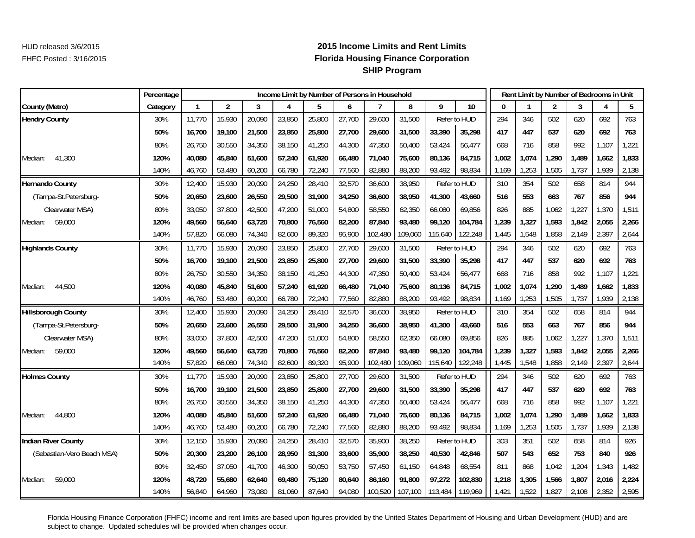# **2015 Income Limits and Rent Limits Florida Housing Finance Corporation SHIP Program**

|                            | Percentage |        |                |        |        |        |        | Income Limit by Number of Persons in Household |         |         |              |       |       |                |       | Rent Limit by Number of Bedrooms in Unit |       |
|----------------------------|------------|--------|----------------|--------|--------|--------|--------|------------------------------------------------|---------|---------|--------------|-------|-------|----------------|-------|------------------------------------------|-------|
| County (Metro)             | Category   | 1      | $\overline{2}$ | 3      | 4      |        | 6      |                                                | 8       | 9       | 10           | 0     |       | $\overline{2}$ | 3     | 4                                        | 5     |
| <b>Hendry County</b>       | 30%        | 11,770 | 15,930         | 20,090 | 23,850 | 25,800 | 27,700 | 29,600                                         | 31,500  |         | Refer to HUD | 294   | 346   | 502            | 620   | 692                                      | 763   |
|                            | 50%        | 16,700 | 19,100         | 21,500 | 23,850 | 25,800 | 27,700 | 29,600                                         | 31,500  | 33,390  | 35,298       | 417   | 447   | 537            | 620   | 692                                      | 763   |
|                            | 80%        | 26,750 | 30,550         | 34,350 | 38,150 | 41,250 | 44,300 | 47,350                                         | 50,400  | 53,424  | 56,477       | 668   | 716   | 858            | 992   | 1,107                                    | 1,221 |
| 41,300<br>Median:          | 120%       | 40,080 | 45,840         | 51,600 | 57,240 | 61,920 | 66,480 | 71,040                                         | 75,600  | 80,136  | 84,715       | 1,002 | 1,074 | 1,290          | 1.489 | 1,662                                    | 1,833 |
|                            | 140%       | 46,760 | 53,480         | 60,200 | 66,780 | 72,240 | 77,560 | 82,880                                         | 88,200  | 93,492  | 98,834       | 1,169 | 1,253 | 1,505          | 1,737 | 1,939                                    | 2,138 |
| <b>Hernando County</b>     | 30%        | 12,400 | 15,930         | 20,090 | 24,250 | 28,410 | 32,570 | 36,600                                         | 38,950  |         | Refer to HUD | 310   | 354   | 502            | 658   | 814                                      | 944   |
| (Tampa-St.Petersburg-      | 50%        | 20,650 | 23,600         | 26,550 | 29,500 | 31,900 | 34,250 | 36,600                                         | 38,950  | 41,300  | 43,660       | 516   | 553   | 663            | 767   | 856                                      | 944   |
| Clearwater MSA)            | 80%        | 33,050 | 37,800         | 42,500 | 47,200 | 51,000 | 54,800 | 58,550                                         | 62,350  | 66,080  | 69,856       | 826   | 885   | 1,062          | 1,227 | 1,370                                    | 1,511 |
| 59,000<br>Median:          | 120%       | 49,560 | 56,640         | 63,720 | 70,800 | 76,560 | 82,200 | 87,840                                         | 93,480  | 99,120  | 104,784      | 1,239 | 1,327 | 1,593          | 1,842 | 2,055                                    | 2,266 |
|                            | 140%       | 57,820 | 66,080         | 74,340 | 82,600 | 89,320 | 95,900 | 102,480                                        | 109,060 | 115,640 | 122,248      | 1,445 | 1,548 | 1,858          | 2,149 | 2,397                                    | 2,644 |
| <b>Highlands County</b>    | 30%        | 11,770 | 15,930         | 20,090 | 23,850 | 25,800 | 27,700 | 29,600                                         | 31,500  |         | Refer to HUD | 294   | 346   | 502            | 620   | 692                                      | 763   |
|                            | 50%        | 16,700 | 19,100         | 21,500 | 23,850 | 25,800 | 27,700 | 29,600                                         | 31,500  | 33,390  | 35,298       | 417   | 447   | 537            | 620   | 692                                      | 763   |
|                            | 80%        | 26,750 | 30,550         | 34,350 | 38,150 | 41,250 | 44,300 | 47,350                                         | 50,400  | 53,424  | 56,477       | 668   | 716   | 858            | 992   | 1,107                                    | 1,221 |
| 44,500<br>Median:          | 120%       | 40,080 | 45,840         | 51,600 | 57,240 | 61,920 | 66,480 | 71,040                                         | 75,600  | 80,136  | 84,715       | 1,002 | 1,074 | 1,290          | 1,489 | 1,662                                    | 1,833 |
|                            | 140%       | 46,760 | 53,480         | 60,200 | 66,780 | 72,240 | 77,560 | 82,880                                         | 88,200  | 93,492  | 98,834       | 1,169 | 1,253 | 1,505          | 1,737 | 1,939                                    | 2,138 |
| <b>Hillsborough County</b> | 30%        | 12,400 | 15,930         | 20,090 | 24,250 | 28,410 | 32,570 | 36,600                                         | 38,950  |         | Refer to HUD | 310   | 354   | 502            | 658   | 814                                      | 944   |
| (Tampa-St.Petersburg-      | 50%        | 20,650 | 23,600         | 26,550 | 29,500 | 31,900 | 34,250 | 36,600                                         | 38,950  | 41,300  | 43,660       | 516   | 553   | 663            | 767   | 856                                      | 944   |
| Clearwater MSA)            | 80%        | 33,050 | 37,800         | 42,500 | 47,200 | 51,000 | 54,800 | 58,550                                         | 62,350  | 66,080  | 69,856       | 826   | 885   | 1,062          | 1,227 | 1,370                                    | 1,511 |
| 59,000<br>Median:          | 120%       | 49,560 | 56,640         | 63,720 | 70,800 | 76,560 | 82,200 | 87,840                                         | 93,480  | 99,120  | 104,784      | 1,239 | 1,327 | 1,593          | 1,842 | 2,055                                    | 2,266 |
|                            | 140%       | 57,820 | 66,080         | 74,340 | 82,600 | 89,320 | 95,900 | 102,480                                        | 109,060 | 115,640 | 122,248      | 1,445 | 1,548 | 1,858          | 2,149 | 2,397                                    | 2,644 |
| <b>Holmes County</b>       | 30%        | 11,770 | 15,930         | 20,090 | 23,850 | 25,800 | 27,700 | 29,600                                         | 31,500  |         | Refer to HUD | 294   | 346   | 502            | 620   | 692                                      | 763   |
|                            | 50%        | 16,700 | 19,100         | 21,500 | 23,850 | 25,800 | 27,700 | 29,600                                         | 31,500  | 33,390  | 35,298       | 417   | 447   | 537            | 620   | 692                                      | 763   |
|                            | 80%        | 26,750 | 30,550         | 34,350 | 38,150 | 41,250 | 44,300 | 47,350                                         | 50,400  | 53,424  | 56,477       | 668   | 716   | 858            | 992   | 1,107                                    | 1,221 |
| 44,800<br>Median:          | 120%       | 40,080 | 45,840         | 51,600 | 57,240 | 61,920 | 66,480 | 71,040                                         | 75,600  | 80,136  | 84,715       | 1,002 | 1,074 | 1,290          | 1,489 | 1,662                                    | 1,833 |
|                            | 140%       | 46,760 | 53,480         | 60,200 | 66,780 | 72,240 | 77,560 | 82,880                                         | 88,200  | 93,492  | 98,834       | 1,169 | 1,253 | 1,505          | 1,737 | 1,939                                    | 2,138 |
| Indian River County        | 30%        | 12,150 | 15,930         | 20,090 | 24,250 | 28,410 | 32,570 | 35,900                                         | 38,250  |         | Refer to HUD | 303   | 351   | 502            | 658   | 814                                      | 926   |
| (Sebastian-Vero Beach MSA) | 50%        | 20,300 | 23,200         | 26,100 | 28,950 | 31,300 | 33,600 | 35,900                                         | 38,250  | 40,530  | 42,846       | 507   | 543   | 652            | 753   | 840                                      | 926   |
|                            | 80%        | 32,450 | 37,050         | 41,700 | 46,300 | 50,050 | 53,750 | 57,450                                         | 61,150  | 64,848  | 68,554       | 811   | 868   | 1,042          | 1,204 | 1,343                                    | 1,482 |
| 59,000<br>Median:          | 120%       | 48,720 | 55,680         | 62,640 | 69,480 | 75,120 | 80,640 | 86,160                                         | 91,800  | 97,272  | 102,830      | 1,218 | 1,305 | 1,566          | 1,807 | 2,016                                    | 2,224 |
|                            | 140%       | 56,840 | 64,960         | 73,080 | 81,060 | 87,640 | 94,080 | 100,520                                        | 107,100 | 113,484 | 119,969      | 1,421 | 1,522 | 1,827          | 2,108 | 2,352                                    | 2,595 |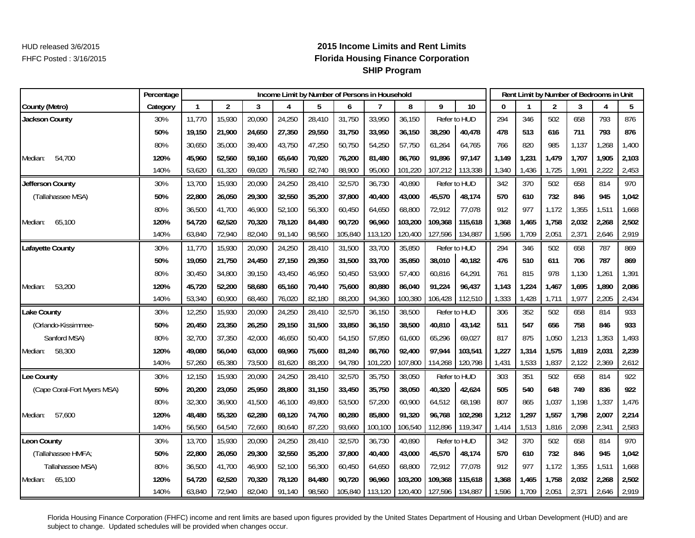# **2015 Income Limits and Rent Limits Florida Housing Finance Corporation SHIP Program**

|                             | Percentage |              |                |        | Income Limit by Number of Persons in Household |        |         |         |         |         |              |              |       |                |       | Rent Limit by Number of Bedrooms in Unit |       |
|-----------------------------|------------|--------------|----------------|--------|------------------------------------------------|--------|---------|---------|---------|---------|--------------|--------------|-------|----------------|-------|------------------------------------------|-------|
| County (Metro)              | Category   | $\mathbf{1}$ | $\overline{2}$ | 3      | 4                                              | 5      | 6       |         | 8       | 9       | 10           | $\mathbf{0}$ |       | $\overline{2}$ | 3     | 4                                        | 5     |
| <b>Jackson County</b>       | 30%        | 11,770       | 15,930         | 20,090 | 24,250                                         | 28,410 | 31,750  | 33,950  | 36,150  |         | Refer to HUD | 294          | 346   | 502            | 658   | 793                                      | 876   |
|                             | 50%        | 19,150       | 21,900         | 24,650 | 27,350                                         | 29,550 | 31,750  | 33,950  | 36,150  | 38,290  | 40,478       | 478          | 513   | 616            | 711   | 793                                      | 876   |
|                             | 80%        | 30,650       | 35,000         | 39,400 | 43,750                                         | 47,250 | 50,750  | 54,250  | 57,750  | 61,264  | 64,765       | 766          | 820   | 985            | 1,137 | 1,268                                    | 1,400 |
| 54.700<br>Median:           | 120%       | 45,960       | 52,560         | 59.160 | 65,640                                         | 70,920 | 76,200  | 81,480  | 86,760  | 91,896  | 97,147       | 1.149        | 1,231 | 1,479          | 1.707 | 1,905                                    | 2,103 |
|                             | 140%       | 53,620       | 61,320         | 69,020 | 76,580                                         | 82,740 | 88,900  | 95,060  | 101,220 | 107,212 | 113,338      | 1,340        | 1,436 | 1,725          | 1,991 | 2,222                                    | 2,453 |
| Jefferson County            | 30%        | 13,700       | 15,930         | 20,090 | 24,250                                         | 28,410 | 32,570  | 36,730  | 40,890  |         | Refer to HUD | 342          | 370   | 502            | 658   | 814                                      | 970   |
| (Tallahassee MSA)           | 50%        | 22,800       | 26,050         | 29,300 | 32,550                                         | 35,200 | 37,800  | 40,400  | 43,000  | 45,570  | 48,174       | 570          | 610   | 732            | 846   | 945                                      | 1,042 |
|                             | 80%        | 36,500       | 41,700         | 46,900 | 52,100                                         | 56,300 | 60,450  | 64,650  | 68,800  | 72,912  | 77,078       | 912          | 977   | 1,172          | 1,355 | 1,511                                    | 1,668 |
| 65,100<br>Median:           | 120%       | 54,720       | 62,520         | 70,320 | 78,120                                         | 84,480 | 90,720  | 96,960  | 103,200 | 109,368 | 115,618      | 1,368        | 1,465 | 1,758          | 2,032 | 2,268                                    | 2,502 |
|                             | 140%       | 63,840       | 72,940         | 82,040 | 91,140                                         | 98,560 | 105,840 | 113,120 | 120,400 | 127,596 | 134,887      | 1,596        | 1,709 | 2,051          | 2,371 | 2,646                                    | 2,919 |
| <b>Lafayette County</b>     | 30%        | 11,770       | 15,930         | 20,090 | 24,250                                         | 28,410 | 31,500  | 33,700  | 35,850  |         | Refer to HUD | 294          | 346   | 502            | 658   | 787                                      | 869   |
|                             | 50%        | 19,050       | 21,750         | 24,450 | 27,150                                         | 29,350 | 31,500  | 33,700  | 35,850  | 38,010  | 40,182       | 476          | 510   | 611            | 706   | 787                                      | 869   |
|                             | 80%        | 30,450       | 34,800         | 39.150 | 43,450                                         | 46,950 | 50,450  | 53,900  | 57,400  | 60,816  | 64,291       | 761          | 815   | 978            | 1,130 | 1,261                                    | 1,391 |
| 53,200<br>Median:           | 120%       | 45,720       | 52,200         | 58,680 | 65,160                                         | 70,440 | 75,600  | 80,880  | 86,040  | 91,224  | 96,437       | 1,143        | 1,224 | 1,467          | 1,695 | 1,890                                    | 2,086 |
|                             | 140%       | 53,340       | 60,900         | 68,460 | 76,020                                         | 82,180 | 88,200  | 94,360  | 100,380 | 106,428 | 112,510      | 1,333        | 1,428 | 1,711          | 1,977 | 2,205                                    | 2,434 |
| <b>Lake County</b>          | 30%        | 12,250       | 15,930         | 20,090 | 24,250                                         | 28,410 | 32,570  | 36,150  | 38,500  |         | Refer to HUD | 306          | 352   | 502            | 658   | 814                                      | 933   |
| (Orlando-Kissimmee-         | 50%        | 20,450       | 23,350         | 26,250 | 29,150                                         | 31,500 | 33,850  | 36,150  | 38,500  | 40,810  | 43,142       | 511          | 547   | 656            | 758   | 846                                      | 933   |
| Sanford MSA)                | 80%        | 32,700       | 37,350         | 42,000 | 46,650                                         | 50,400 | 54,150  | 57,850  | 61,600  | 65,296  | 69,027       | 817          | 875   | 1,050          | 1,213 | 1,353                                    | 1,493 |
| 58,300<br>Median:           | 120%       | 49,080       | 56,040         | 63,000 | 69,960                                         | 75,600 | 81,240  | 86,760  | 92,400  | 97,944  | 103,541      | 1.227        | 1,314 | 1,575          | 1,819 | 2,031                                    | 2,239 |
|                             | 140%       | 57,260       | 65,380         | 73,500 | 81,620                                         | 88,200 | 94,780  | 101,220 | 107,800 | 114,268 | 120,798      | 1,431        | 1,533 | 1,837          | 2,122 | 2,369                                    | 2,612 |
| Lee County                  | 30%        | 12,150       | 15,930         | 20,090 | 24,250                                         | 28,410 | 32,570  | 35,750  | 38,050  |         | Refer to HUD | 303          | 351   | 502            | 658   | 814                                      | 922   |
| (Cape Coral-Fort Myers MSA) | 50%        | 20,200       | 23,050         | 25,950 | 28,800                                         | 31,150 | 33,450  | 35,750  | 38,050  | 40,320  | 42,624       | 505          | 540   | 648            | 749   | 836                                      | 922   |
|                             | 80%        | 32,300       | 36,900         | 41,500 | 46,100                                         | 49,800 | 53,500  | 57,200  | 60,900  | 64,512  | 68,198       | 807          | 865   | 1,037          | 1,198 | 1,337                                    | 1,476 |
| 57,600<br>Median:           | 120%       | 48,480       | 55,320         | 62,280 | 69,120                                         | 74,760 | 80,280  | 85,800  | 91,320  | 96,768  | 102,298      | 1,212        | 1,297 | 1,557          | 1,798 | 2,007                                    | 2,214 |
|                             | 140%       | 56,560       | 64,540         | 72,660 | 80,640                                         | 87,220 | 93,660  | 100,100 | 106,540 | 112,896 | 119,347      | 1,414        | 1,513 | 1,816          | 2,098 | 2,341                                    | 2,583 |
| <b>Leon County</b>          | 30%        | 13,700       | 15,930         | 20,090 | 24,250                                         | 28,410 | 32,570  | 36,730  | 40,890  |         | Refer to HUD | 342          | 370   | 502            | 658   | 814                                      | 970   |
| (Tallahassee HMFA;          | 50%        | 22,800       | 26,050         | 29,300 | 32,550                                         | 35,200 | 37,800  | 40,400  | 43,000  | 45,570  | 48,174       | 570          | 610   | 732            | 846   | 945                                      | 1,042 |
| Tallahassee MSA)            | 80%        | 36,500       | 41,700         | 46,900 | 52,100                                         | 56,300 | 60,450  | 64,650  | 68,800  | 72,912  | 77,078       | 912          | 977   | 1,172          | 1,355 | 1,511                                    | 1,668 |
| 65,100<br>Median:           | 120%       | 54,720       | 62,520         | 70,320 | 78,120                                         | 84,480 | 90,720  | 96,960  | 103,200 | 109,368 | 115,618      | 1,368        | 1,465 | 1,758          | 2,032 | 2,268                                    | 2,502 |
|                             | 140%       | 63,840       | 72,940         | 82,040 | 91,140                                         | 98,560 | 105,840 | 113,120 | 120,400 | 127,596 | 134,887      | 1,596        | 1,709 | 2,051          | 2,371 | 2,646                                    | 2,919 |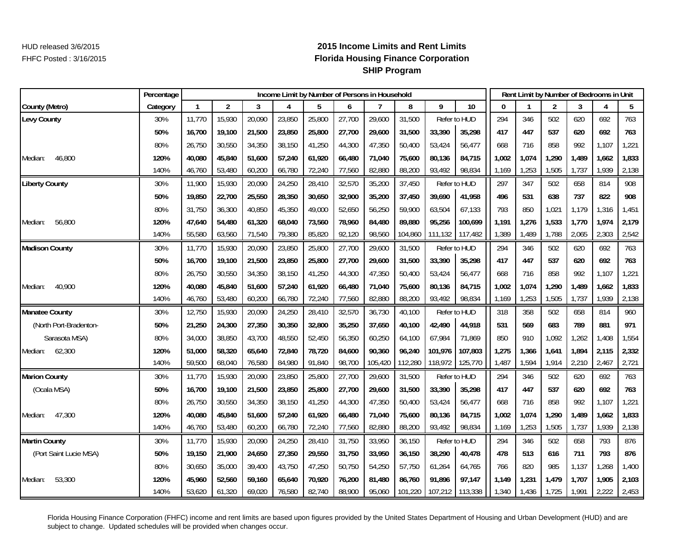# **2015 Income Limits and Rent Limits Florida Housing Finance Corporation SHIP Program**

|                        | Percentage | Income Limit by Number of Persons in Household<br>$\overline{2}$<br>9<br>10<br>1<br>3<br>5<br>8<br>4<br>6<br>11,770<br>15,930<br>20,090<br>23,850<br>27,700<br>29,600<br>31,500<br>25,800<br>Refer to HUD<br>33,390<br>35,298<br>16,700<br>19,100<br>21,500<br>23,850<br>25,800<br>27,700<br>29,600<br>31,500<br>38,150<br>56,477<br>26,750<br>30,550<br>34,350<br>41,250<br>44,300<br>47,350<br>50,400<br>53,424<br>84,715<br>40,080<br>45,840<br>51,600<br>57,240<br>61,920<br>66,480<br>71,040<br>75,600<br>80,136<br>46,760<br>82,880<br>53,480<br>60,200<br>66,780<br>72,240<br>77,560<br>88,200<br>93,492<br>98,834<br>24,250<br>28,410<br>32,570<br>35,200<br>11,900<br>15,930<br>20,090<br>37,450<br>Refer to HUD<br>41,958<br>39,690<br>19,850<br>22,700<br>25,550<br>28,350<br>30,650<br>32,900<br>35,200<br>37,450 |        |        |        |        |        |         |         |         |              |          |       |                |       | Rent Limit by Number of Bedrooms in Unit |       |
|------------------------|------------|-------------------------------------------------------------------------------------------------------------------------------------------------------------------------------------------------------------------------------------------------------------------------------------------------------------------------------------------------------------------------------------------------------------------------------------------------------------------------------------------------------------------------------------------------------------------------------------------------------------------------------------------------------------------------------------------------------------------------------------------------------------------------------------------------------------------------------|--------|--------|--------|--------|--------|---------|---------|---------|--------------|----------|-------|----------------|-------|------------------------------------------|-------|
| County (Metro)         | Category   |                                                                                                                                                                                                                                                                                                                                                                                                                                                                                                                                                                                                                                                                                                                                                                                                                               |        |        |        |        |        |         |         |         |              | $\Omega$ |       | $\overline{2}$ | 3     | $\overline{4}$                           | 5     |
| Levy County            | 30%        |                                                                                                                                                                                                                                                                                                                                                                                                                                                                                                                                                                                                                                                                                                                                                                                                                               |        |        |        |        |        |         |         |         |              | 294      | 346   | 502            | 620   | 692                                      | 763   |
|                        | 50%        |                                                                                                                                                                                                                                                                                                                                                                                                                                                                                                                                                                                                                                                                                                                                                                                                                               |        |        |        |        |        |         |         |         |              | 417      | 447   | 537            | 620   | 692                                      | 763   |
|                        | 80%        |                                                                                                                                                                                                                                                                                                                                                                                                                                                                                                                                                                                                                                                                                                                                                                                                                               |        |        |        |        |        |         |         |         |              | 668      | 716   | 858            | 992   | 1,107                                    | 1,221 |
| 46,800<br>Median:      | 120%       |                                                                                                                                                                                                                                                                                                                                                                                                                                                                                                                                                                                                                                                                                                                                                                                                                               |        |        |        |        |        |         |         |         |              | 1,002    | 1,074 | 1,290          | 1.489 | 1,662                                    | 1,833 |
|                        | 140%       |                                                                                                                                                                                                                                                                                                                                                                                                                                                                                                                                                                                                                                                                                                                                                                                                                               |        |        |        |        |        |         |         |         |              | 1,169    | 1,253 | 1,505          | 1,737 | 1,939                                    | 2,138 |
| <b>Liberty County</b>  | 30%        |                                                                                                                                                                                                                                                                                                                                                                                                                                                                                                                                                                                                                                                                                                                                                                                                                               |        |        |        |        |        |         |         |         |              | 297      | 347   | 502            | 658   | 814                                      | 908   |
|                        | 50%        |                                                                                                                                                                                                                                                                                                                                                                                                                                                                                                                                                                                                                                                                                                                                                                                                                               |        |        |        |        |        |         |         |         |              | 496      | 531   | 638            | 737   | 822                                      | 908   |
|                        | 80%        | 31,750                                                                                                                                                                                                                                                                                                                                                                                                                                                                                                                                                                                                                                                                                                                                                                                                                        | 36,300 | 40,850 | 45,350 | 49,000 | 52,650 | 56,250  | 59,900  | 63,504  | 67,133       | 793      | 850   | 1,021          | 1,179 | 1,316                                    | 1,451 |
| 56,800<br>Median:      | 120%       | 47,640                                                                                                                                                                                                                                                                                                                                                                                                                                                                                                                                                                                                                                                                                                                                                                                                                        | 54,480 | 61,320 | 68,040 | 73,560 | 78,960 | 84,480  | 89,880  | 95,256  | 100,699      | 1,191    | 1,276 | 1,533          | 1,770 | 1,974                                    | 2,179 |
|                        | 140%       | 55,580                                                                                                                                                                                                                                                                                                                                                                                                                                                                                                                                                                                                                                                                                                                                                                                                                        | 63,560 | 71,540 | 79,380 | 85,820 | 92,120 | 98,560  | 104,860 | 111,132 | 117,482      | 1,389    | 1,489 | 1,788          | 2,065 | 2,303                                    | 2,542 |
| <b>Madison County</b>  | 30%        | 11,770                                                                                                                                                                                                                                                                                                                                                                                                                                                                                                                                                                                                                                                                                                                                                                                                                        | 15,930 | 20,090 | 23,850 | 25,800 | 27,700 | 29,600  | 31,500  |         | Refer to HUD | 294      | 346   | 502            | 620   | 692                                      | 763   |
|                        | 50%        | 16,700                                                                                                                                                                                                                                                                                                                                                                                                                                                                                                                                                                                                                                                                                                                                                                                                                        | 19,100 | 21,500 | 23,850 | 25,800 | 27,700 | 29,600  | 31,500  | 33,390  | 35,298       | 417      | 447   | 537            | 620   | 692                                      | 763   |
|                        | 80%        | 26,750                                                                                                                                                                                                                                                                                                                                                                                                                                                                                                                                                                                                                                                                                                                                                                                                                        | 30,550 | 34,350 | 38,150 | 41,250 | 44,300 | 47,350  | 50,400  | 53,424  | 56,477       | 668      | 716   | 858            | 992   | 1,107                                    | 1,221 |
| 40,900<br>Median:      | 120%       | 40,080                                                                                                                                                                                                                                                                                                                                                                                                                                                                                                                                                                                                                                                                                                                                                                                                                        | 45,840 | 51,600 | 57,240 | 61,920 | 66,480 | 71,040  | 75,600  | 80,136  | 84,715       | 1,002    | 1,074 | 1,290          | 1,489 | 1,662                                    | 1,833 |
|                        | 140%       | 46,760                                                                                                                                                                                                                                                                                                                                                                                                                                                                                                                                                                                                                                                                                                                                                                                                                        | 53,480 | 60,200 | 66,780 | 72,240 | 77,560 | 82,880  | 88,200  | 93,492  | 98,834       | 1,169    | 1,253 | 1,505          | 1,737 | 1,939                                    | 2,138 |
| <b>Manatee County</b>  | 30%        | 12,750                                                                                                                                                                                                                                                                                                                                                                                                                                                                                                                                                                                                                                                                                                                                                                                                                        | 15,930 | 20,090 | 24,250 | 28,410 | 32,570 | 36,730  | 40,100  |         | Refer to HUD | 318      | 358   | 502            | 658   | 814                                      | 960   |
| (North Port-Bradenton- | 50%        | 21,250                                                                                                                                                                                                                                                                                                                                                                                                                                                                                                                                                                                                                                                                                                                                                                                                                        | 24,300 | 27,350 | 30,350 | 32,800 | 35,250 | 37,650  | 40,100  | 42,490  | 44,918       | 531      | 569   | 683            | 789   | 881                                      | 971   |
| Sarasota MSA)          | 80%        | 34,000                                                                                                                                                                                                                                                                                                                                                                                                                                                                                                                                                                                                                                                                                                                                                                                                                        | 38,850 | 43,700 | 48,550 | 52,450 | 56,350 | 60,250  | 64,100  | 67,984  | 71,869       | 850      | 910   | 1,092          | 1,262 | 1,408                                    | 1,554 |
| 62,300<br>Median:      | 120%       | 51,000                                                                                                                                                                                                                                                                                                                                                                                                                                                                                                                                                                                                                                                                                                                                                                                                                        | 58,320 | 65,640 | 72,840 | 78,720 | 84,600 | 90,360  | 96,240  | 101,976 | 107,803      | 1,275    | 1,366 | 1,641          | 1,894 | 2,115                                    | 2,332 |
|                        | 140%       | 59,500                                                                                                                                                                                                                                                                                                                                                                                                                                                                                                                                                                                                                                                                                                                                                                                                                        | 68,040 | 76,580 | 84,980 | 91,840 | 98,700 | 105,420 | 112,280 | 118,972 | 125,770      | 1,487    | 1,594 | 1,914          | 2,210 | 2,467                                    | 2,721 |
| <b>Marion County</b>   | 30%        | 11,770                                                                                                                                                                                                                                                                                                                                                                                                                                                                                                                                                                                                                                                                                                                                                                                                                        | 15,930 | 20,090 | 23,850 | 25,800 | 27,700 | 29,600  | 31,500  |         | Refer to HUD | 294      | 346   | 502            | 620   | 692                                      | 763   |
| (Ocala MSA)            | 50%        | 16,700                                                                                                                                                                                                                                                                                                                                                                                                                                                                                                                                                                                                                                                                                                                                                                                                                        | 19,100 | 21,500 | 23,850 | 25,800 | 27,700 | 29,600  | 31,500  | 33,390  | 35,298       | 417      | 447   | 537            | 620   | 692                                      | 763   |
|                        | 80%        | 26,750                                                                                                                                                                                                                                                                                                                                                                                                                                                                                                                                                                                                                                                                                                                                                                                                                        | 30,550 | 34,350 | 38,150 | 41,250 | 44,300 | 47,350  | 50,400  | 53,424  | 56,477       | 668      | 716   | 858            | 992   | 1,107                                    | 1,221 |
| 47,300<br>Median:      | 120%       | 40,080                                                                                                                                                                                                                                                                                                                                                                                                                                                                                                                                                                                                                                                                                                                                                                                                                        | 45,840 | 51,600 | 57,240 | 61,920 | 66,480 | 71,040  | 75,600  | 80,136  | 84,715       | 1,002    | 1,074 | 1,290          | 1,489 | 1,662                                    | 1,833 |
|                        | 140%       | 46,760                                                                                                                                                                                                                                                                                                                                                                                                                                                                                                                                                                                                                                                                                                                                                                                                                        | 53,480 | 60,200 | 66,780 | 72,240 | 77,560 | 82,880  | 88,200  | 93,492  | 98,834       | 1,169    | 1,253 | 1,505          | 1,737 | 1,939                                    | 2,138 |
| <b>Martin County</b>   | 30%        | 11,770                                                                                                                                                                                                                                                                                                                                                                                                                                                                                                                                                                                                                                                                                                                                                                                                                        | 15,930 | 20,090 | 24,250 | 28,410 | 31,750 | 33,950  | 36,150  |         | Refer to HUD | 294      | 346   | 502            | 658   | 793                                      | 876   |
| (Port Saint Lucie MSA) | 50%        | 19,150                                                                                                                                                                                                                                                                                                                                                                                                                                                                                                                                                                                                                                                                                                                                                                                                                        | 21,900 | 24,650 | 27,350 | 29,550 | 31,750 | 33,950  | 36,150  | 38,290  | 40,478       | 478      | 513   | 616            | 711   | 793                                      | 876   |
|                        | 80%        | 30,650                                                                                                                                                                                                                                                                                                                                                                                                                                                                                                                                                                                                                                                                                                                                                                                                                        | 35,000 | 39,400 | 43,750 | 47,250 | 50,750 | 54,250  | 57,750  | 61,264  | 64,765       | 766      | 820   | 985            | 1,137 | 1,268                                    | 1,400 |
| 53,300<br>Median:      | 120%       | 45,960                                                                                                                                                                                                                                                                                                                                                                                                                                                                                                                                                                                                                                                                                                                                                                                                                        | 52,560 | 59,160 | 65,640 | 70,920 | 76,200 | 81,480  | 86,760  | 91,896  | 97,147       | 1,149    | 1,231 | 1,479          | 1,707 | 1,905                                    | 2,103 |
|                        | 140%       | 53,620                                                                                                                                                                                                                                                                                                                                                                                                                                                                                                                                                                                                                                                                                                                                                                                                                        | 61,320 | 69,020 | 76,580 | 82,740 | 88,900 | 95,060  | 101,220 | 107,212 | 113,338      | 1,340    | 1,436 | 1,725          | 1.991 | 2,222                                    | 2,453 |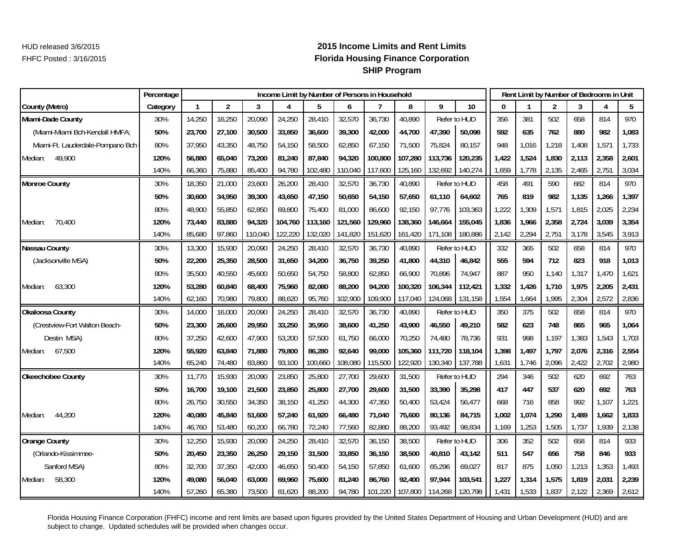# **2015 Income Limits and Rent Limits Florida Housing Finance Corporation SHIP Program**

|                                  | Percentage |              |                |         | Income Limit by Number of Persons in Household |         |         |         |         |         |              |              |       |                |       | Rent Limit by Number of Bedrooms in Unit |       |
|----------------------------------|------------|--------------|----------------|---------|------------------------------------------------|---------|---------|---------|---------|---------|--------------|--------------|-------|----------------|-------|------------------------------------------|-------|
| County (Metro)                   | Category   | $\mathbf{1}$ | $\overline{2}$ | 3       | 4                                              |         | 6       |         | 8       | 9       | 10           | $\mathbf{0}$ |       | $\overline{2}$ | 3     | 4                                        | 5     |
| Miami-Dade County                | 30%        | 14,250       | 16,250         | 20,090  | 24,250                                         | 28,410  | 32,570  | 36,730  | 40,890  |         | Refer to HUD | 356          | 381   | 502            | 658   | 814                                      | 970   |
| (Miami-Miami Bch-Kendall HMFA;   | 50%        | 23,700       | 27,100         | 30,500  | 33,850                                         | 36,600  | 39,300  | 42,000  | 44,700  | 47,390  | 50,098       | 592          | 635   | 762            | 880   | 982                                      | 1,083 |
| Miami-Ft. Lauderdale-Pompano Bch | 80%        | 37,950       | 43,350         | 48,750  | 54,150                                         | 58,500  | 62,850  | 67,150  | 71,500  | 75,824  | 80,157       | 948          | 1,016 | 1,218          | 1,408 | 1,571                                    | 1,733 |
| 49,900<br>Median:                | 120%       | 56,880       | 65,040         | 73,200  | 81,240                                         | 87.840  | 94,320  | 100,800 | 107,280 | 113.736 | 120,235      | 1,422        | 1,524 | 1,830          | 2,113 | 2,358                                    | 2,601 |
|                                  | 140%       | 66,360       | 75,880         | 85,400  | 94,780                                         | 102,480 | 110,040 | 117,600 | 125,160 | 132,692 | 140,274      | 1,659        | 1,778 | 2,135          | 2,465 | 2,751                                    | 3,034 |
| <b>Monroe County</b>             | 30%        | 18,350       | 21,000         | 23,600  | 26,200                                         | 28,410  | 32,570  | 36,730  | 40,890  |         | Refer to HUD | 458          | 491   | 590            | 682   | 814                                      | 970   |
|                                  | 50%        | 30,600       | 34,950         | 39,300  | 43,650                                         | 47,150  | 50,650  | 54,150  | 57,650  | 61,110  | 64,602       | 765          | 819   | 982            | 1,135 | 1,266                                    | 1,397 |
|                                  | 80%        | 48,900       | 55,850         | 62,850  | 69,800                                         | 75,400  | 81,000  | 86,600  | 92,150  | 97,776  | 103,363      | 1,222        | 1,309 | 1,571          | 1,815 | 2,025                                    | 2,234 |
| 70.400<br>Median:                | 120%       | 73,440       | 83,880         | 94,320  | 104,760                                        | 113,160 | 121,560 | 129,960 | 138,360 | 146.664 | 155,045      | 1,836        | 1,966 | 2,358          | 2,724 | 3,039                                    | 3,354 |
|                                  | 140%       | 85,680       | 97,860         | 110,040 | 122,220                                        | 132,020 | 141,820 | 151,620 | 161,420 | 171,108 | 180,886      | 2,142        | 2,294 | 2,751          | 3,178 | 3,545                                    | 3,913 |
| <b>Nassau County</b>             | 30%        | 13,300       | 15,930         | 20,090  | 24,250                                         | 28,410  | 32,570  | 36,730  | 40,890  |         | Refer to HUD | 332          | 365   | 502            | 658   | 814                                      | 970   |
| (Jacksonville MSA)               | 50%        | 22,200       | 25,350         | 28,500  | 31,650                                         | 34,200  | 36,750  | 39,250  | 41,800  | 44,310  | 46,842       | 555          | 594   | 712            | 823   | 918                                      | 1,013 |
|                                  | 80%        | 35,500       | 40,550         | 45,600  | 50,650                                         | 54,750  | 58,800  | 62,850  | 66,900  | 70,896  | 74,947       | 887          | 950   | 1,140          | 1,317 | 1,470                                    | 1,621 |
| 63,300<br>Median:                | 120%       | 53,280       | 60,840         | 68,400  | 75,960                                         | 82,080  | 88,200  | 94,200  | 100,320 | 106,344 | 112,421      | 1,332        | 1,426 | 1,710          | 1,975 | 2,205                                    | 2,431 |
|                                  | 140%       | 62,160       | 70,980         | 79,800  | 88,620                                         | 95,760  | 102,900 | 109,900 | 117,040 | 124,068 | 131,158      | 1,554        | 1,664 | 1,995          | 2,304 | 2,572                                    | 2,836 |
| Okaloosa County                  | 30%        | 14,000       | 16,000         | 20,090  | 24,250                                         | 28,410  | 32,570  | 36,730  | 40,890  |         | Refer to HUD | 350          | 375   | 502            | 658   | 814                                      | 970   |
| (Crestview-Fort Walton Beach-    | 50%        | 23,300       | 26,600         | 29,950  | 33,250                                         | 35,950  | 38,600  | 41,250  | 43,900  | 46,550  | 49,210       | 582          | 623   | 748            | 865   | 965                                      | 1,064 |
| Destin MSA)                      | 80%        | 37,250       | 42,600         | 47,900  | 53,200                                         | 57,500  | 61,750  | 66,000  | 70,250  | 74,480  | 78,736       | 931          | 998   | 1,197          | 1,383 | 1,543                                    | 1,703 |
| Median:<br>67,500                | 120%       | 55,920       | 63,840         | 71,880  | 79,800                                         | 86,280  | 92,640  | 99,000  | 105,360 | 111,720 | 118,104      | 1,398        | 1,497 | 1,797          | 2,076 | 2,316                                    | 2,554 |
|                                  | 140%       | 65,240       | 74,480         | 83,860  | 93,100                                         | 100,660 | 108,080 | 115,500 | 122,920 | 130,340 | 137,788      | 1,631        | 1,746 | 2,096          | 2,422 | 2,702                                    | 2,980 |
| <b>Okeechobee County</b>         | 30%        | 11,770       | 15,930         | 20,090  | 23,850                                         | 25,800  | 27,700  | 29,600  | 31,500  |         | Refer to HUD | 294          | 346   | 502            | 620   | 692                                      | 763   |
|                                  | 50%        | 16,700       | 19,100         | 21,500  | 23,850                                         | 25,800  | 27,700  | 29,600  | 31,500  | 33,390  | 35,298       | 417          | 447   | 537            | 620   | 692                                      | 763   |
|                                  | 80%        | 26,750       | 30,550         | 34,350  | 38,150                                         | 41,250  | 44,300  | 47,350  | 50,400  | 53,424  | 56,477       | 668          | 716   | 858            | 992   | 1,107                                    | 1,221 |
| Median:<br>44,200                | 120%       | 40,080       | 45,840         | 51,600  | 57,240                                         | 61,920  | 66,480  | 71,040  | 75,600  | 80,136  | 84,715       | 1,002        | 1,074 | 1,290          | 1,489 | 1,662                                    | 1,833 |
|                                  | 140%       | 46,760       | 53,480         | 60,200  | 66,780                                         | 72,240  | 77,560  | 82,880  | 88,200  | 93,492  | 98,834       | 1,169        | 1,253 | 1,505          | 1,737 | 1,939                                    | 2,138 |
| <b>Orange County</b>             | 30%        | 12,250       | 15,930         | 20,090  | 24,250                                         | 28,410  | 32,570  | 36,150  | 38,500  |         | Refer to HUD | 306          | 352   | 502            | 658   | 814                                      | 933   |
| (Orlando-Kissimmee-              | 50%        | 20,450       | 23,350         | 26,250  | 29,150                                         | 31,500  | 33,850  | 36,150  | 38,500  | 40,810  | 43,142       | 511          | 547   | 656            | 758   | 846                                      | 933   |
| Sanford MSA)                     | 80%        | 32,700       | 37,350         | 42,000  | 46,650                                         | 50,400  | 54,150  | 57,850  | 61,600  | 65,296  | 69,027       | 817          | 875   | 1,050          | 1,213 | 1,353                                    | 1,493 |
| 58,300<br>Median:                | 120%       | 49,080       | 56,040         | 63,000  | 69,960                                         | 75,600  | 81,240  | 86,760  | 92,400  | 97,944  | 103,541      | 1,227        | 1,314 | 1,575          | 1,819 | 2,031                                    | 2,239 |
|                                  | 140%       | 57,260       | 65,380         | 73,500  | 81,620                                         | 88,200  | 94,780  | 101,220 | 107,800 | 114,268 | 120,798      | 1,431        | 1,533 | 1,837          | 2,122 | 2,369                                    | 2,612 |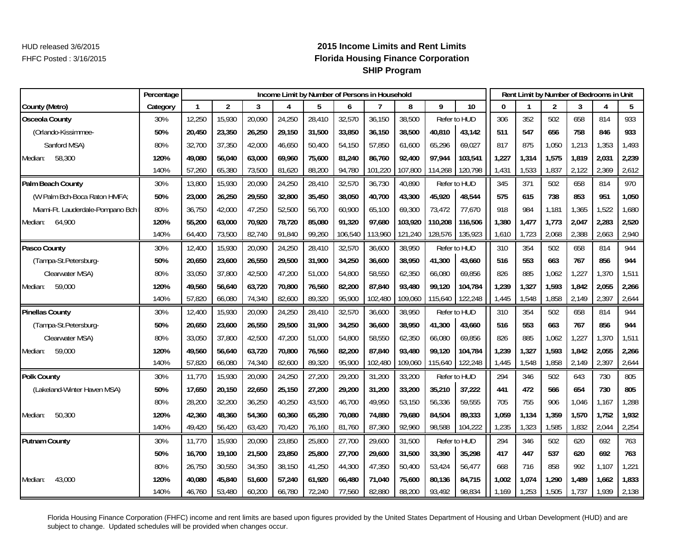# **2015 Income Limits and Rent Limits Florida Housing Finance Corporation SHIP Program**

|                                  | Percentage |              |        |        |        |        |         | Income Limit by Number of Persons in Household |         |         |              |          |       |                |       | Rent Limit by Number of Bedrooms in Unit |       |
|----------------------------------|------------|--------------|--------|--------|--------|--------|---------|------------------------------------------------|---------|---------|--------------|----------|-------|----------------|-------|------------------------------------------|-------|
| County (Metro)                   | Category   | $\mathbf{1}$ | 2      | 3      | 4      | 5      | 6       |                                                | 8       | 9       | 10           | $\Omega$ |       | $\overline{2}$ | 3     | 4                                        | 5     |
| <b>Osceola County</b>            | 30%        | 12,250       | 15,930 | 20,090 | 24,250 | 28,410 | 32,570  | 36,150                                         | 38,500  |         | Refer to HUD | 306      | 352   | 502            | 658   | 814                                      | 933   |
| (Orlando-Kissimmee-              | 50%        | 20,450       | 23,350 | 26,250 | 29,150 | 31,500 | 33,850  | 36,150                                         | 38,500  | 40,810  | 43,142       | 511      | 547   | 656            | 758   | 846                                      | 933   |
| Sanford MSA)                     | 80%        | 32,700       | 37,350 | 42,000 | 46,650 | 50,400 | 54,150  | 57,850                                         | 61,600  | 65,296  | 69,027       | 817      | 875   | 1,050          | 1,213 | 1,353                                    | 1,493 |
| 58,300<br>Median:                | 120%       | 49,080       | 56,040 | 63,000 | 69,960 | 75,600 | 81,240  | 86,760                                         | 92,400  | 97.944  | 103,541      | 1,227    | 1,314 | 1,575          | 1,819 | 2,031                                    | 2,239 |
|                                  | 140%       | 57,260       | 65,380 | 73,500 | 81,620 | 88,200 | 94,780  | 101,220                                        | 107,800 | 114,268 | 120,798      | 1,431    | 1,533 | 1,837          | 2,122 | 2,369                                    | 2,612 |
| Palm Beach County                | 30%        | 13,800       | 15,930 | 20,090 | 24,250 | 28,410 | 32,570  | 36,730                                         | 40,890  |         | Refer to HUD | 345      | 371   | 502            | 658   | 814                                      | 970   |
| (W Palm Bch-Boca Raton HMFA;     | 50%        | 23,000       | 26,250 | 29,550 | 32,800 | 35,450 | 38,050  | 40,700                                         | 43,300  | 45,920  | 48,544       | 575      | 615   | 738            | 853   | 951                                      | 1,050 |
| Miami-Ft. Lauderdale-Pompano Bch | 80%        | 36,750       | 42,000 | 47,250 | 52,500 | 56,700 | 60,900  | 65,100                                         | 69,300  | 73,472  | 77,670       | 918      | 984   | 1,181          | 1,365 | 1,522                                    | 1,680 |
| 64,900<br>Median:                | 120%       | 55,200       | 63,000 | 70,920 | 78,720 | 85,080 | 91,320  | 97,680                                         | 103,920 | 110,208 | 116,506      | 1,380    | 1,477 | 1,773          | 2,047 | 2,283                                    | 2,520 |
|                                  | 140%       | 64,400       | 73,500 | 82,740 | 91,840 | 99,260 | 106,540 | 113,960                                        | 121,240 | 128,576 | 135,923      | 1,610    | 1,723 | 2,068          | 2,388 | 2,663                                    | 2,940 |
| Pasco County                     | 30%        | 12,400       | 15,930 | 20,090 | 24,250 | 28,410 | 32,570  | 36,600                                         | 38,950  |         | Refer to HUD | 310      | 354   | 502            | 658   | 814                                      | 944   |
| (Tampa-St.Petersburg-            | 50%        | 20,650       | 23,600 | 26,550 | 29,500 | 31,900 | 34,250  | 36,600                                         | 38,950  | 41,300  | 43,660       | 516      | 553   | 663            | 767   | 856                                      | 944   |
| Clearwater MSA)                  | 80%        | 33,050       | 37,800 | 42,500 | 47,200 | 51,000 | 54,800  | 58,550                                         | 62,350  | 66,080  | 69,856       | 826      | 885   | 1,062          | 1,227 | 1,370                                    | 1,511 |
| 59,000<br>Median:                | 120%       | 49,560       | 56,640 | 63,720 | 70,800 | 76,560 | 82,200  | 87,840                                         | 93,480  | 99,120  | 104,784      | 1,239    | 1,327 | 1,593          | 1,842 | 2,055                                    | 2,266 |
|                                  | 140%       | 57,820       | 66,080 | 74,340 | 82,600 | 89,320 | 95,900  | 102,480                                        | 109,060 | 115,640 | 122,248      | 1,445    | 1,548 | 1,858          | 2,149 | 2,397                                    | 2,644 |
| <b>Pinellas County</b>           | 30%        | 12,400       | 15,930 | 20,090 | 24,250 | 28,410 | 32,570  | 36,600                                         | 38,950  |         | Refer to HUD | 310      | 354   | 502            | 658   | 814                                      | 944   |
| (Tampa-St.Petersburg-            | 50%        | 20,650       | 23,600 | 26,550 | 29,500 | 31,900 | 34,250  | 36,600                                         | 38,950  | 41,300  | 43,660       | 516      | 553   | 663            | 767   | 856                                      | 944   |
| Clearwater MSA)                  | 80%        | 33,050       | 37,800 | 42,500 | 47,200 | 51,000 | 54,800  | 58,550                                         | 62,350  | 66,080  | 69,856       | 826      | 885   | 1,062          | 1,227 | 1,370                                    | 1,511 |
| 59,000<br>Median:                | 120%       | 49,560       | 56,640 | 63,720 | 70,800 | 76,560 | 82,200  | 87,840                                         | 93,480  | 99,120  | 104,784      | 1,239    | 1,327 | 1,593          | 1,842 | 2,055                                    | 2,266 |
|                                  | 140%       | 57,820       | 66,080 | 74,340 | 82,600 | 89,320 | 95,900  | 102,480                                        | 109,060 | 115,640 | 122,248      | 1,445    | 1,548 | 1,858          | 2,149 | 2,397                                    | 2,644 |
| <b>Polk County</b>               | 30%        | 11,770       | 15,930 | 20,090 | 24,250 | 27,200 | 29,200  | 31,200                                         | 33,200  |         | Refer to HUD | 294      | 346   | 502            | 643   | 730                                      | 805   |
| (Lakeland-Winter Haven MSA)      | 50%        | 17,650       | 20,150 | 22,650 | 25,150 | 27,200 | 29,200  | 31,200                                         | 33,200  | 35,210  | 37,222       | 441      | 472   | 566            | 654   | 730                                      | 805   |
|                                  | 80%        | 28,200       | 32,200 | 36,250 | 40,250 | 43,500 | 46,700  | 49,950                                         | 53,150  | 56,336  | 59,555       | 705      | 755   | 906            | 1,046 | 1,167                                    | 1,288 |
| 50,300<br>Median:                | 120%       | 42,360       | 48,360 | 54,360 | 60,360 | 65,280 | 70,080  | 74,880                                         | 79,680  | 84,504  | 89,333       | 1,059    | 1,134 | 1,359          | 1,570 | 1,752                                    | 1,932 |
|                                  | 140%       | 49,420       | 56,420 | 63,420 | 70,420 | 76,160 | 81,760  | 87,360                                         | 92,960  | 98,588  | 104,222      | 1,235    | 1,323 | 1,585          | 1,832 | 2,044                                    | 2,254 |
| <b>Putnam County</b>             | 30%        | 11,770       | 15,930 | 20,090 | 23,850 | 25,800 | 27,700  | 29,600                                         | 31,500  |         | Refer to HUD | 294      | 346   | 502            | 620   | 692                                      | 763   |
|                                  | 50%        | 16,700       | 19,100 | 21,500 | 23,850 | 25,800 | 27,700  | 29,600                                         | 31,500  | 33,390  | 35,298       | 417      | 447   | 537            | 620   | 692                                      | 763   |
|                                  | 80%        | 26,750       | 30,550 | 34,350 | 38,150 | 41,250 | 44,300  | 47,350                                         | 50,400  | 53,424  | 56,477       | 668      | 716   | 858            | 992   | 1,107                                    | 1,221 |
| 43,000<br>Median:                | 120%       | 40,080       | 45,840 | 51,600 | 57,240 | 61,920 | 66,480  | 71,040                                         | 75,600  | 80,136  | 84,715       | 1,002    | 1,074 | 1,290          | 1,489 | 1,662                                    | 1,833 |
|                                  | 140%       | 46,760       | 53,480 | 60,200 | 66,780 | 72,240 | 77,560  | 82,880                                         | 88,200  | 93,492  | 98,834       | 1,169    | 1,253 | 1,505          | 1,737 | 1,939                                    | 2,138 |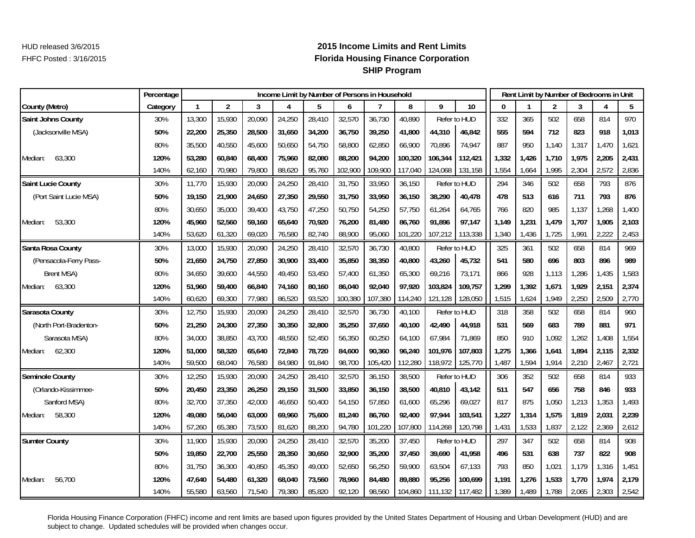# **2015 Income Limits and Rent Limits Florida Housing Finance Corporation SHIP Program**

|                           | Percentage | Income Limit by Number of Persons in Household<br>$\overline{2}$<br>8<br>9<br>10<br>$\mathbf{1}$<br>3<br>5<br>4<br>6<br>13,300<br>15,930<br>20,090<br>24,250<br>28,410<br>32,570<br>36,730<br>40,890<br>Refer to HUD |        |        |        |        |         |         |         |         |              |              |       |                |       | Rent Limit by Number of Bedrooms in Unit |       |
|---------------------------|------------|----------------------------------------------------------------------------------------------------------------------------------------------------------------------------------------------------------------------|--------|--------|--------|--------|---------|---------|---------|---------|--------------|--------------|-------|----------------|-------|------------------------------------------|-------|
| County (Metro)            | Category   |                                                                                                                                                                                                                      |        |        |        |        |         |         |         |         |              | $\mathbf{0}$ |       | $\overline{2}$ | 3     | 4                                        | 5     |
| Saint Johns County        | 30%        |                                                                                                                                                                                                                      |        |        |        |        |         |         |         |         |              | 332          | 365   | 502            | 658   | 814                                      | 970   |
| (Jacksonville MSA)        | 50%        | 22,200                                                                                                                                                                                                               | 25,350 | 28,500 | 31,650 | 34,200 | 36,750  | 39,250  | 41,800  | 44,310  | 46,842       | 555          | 594   | 712            | 823   | 918                                      | 1,013 |
|                           | 80%        | 35,500                                                                                                                                                                                                               | 40,550 | 45,600 | 50,650 | 54,750 | 58,800  | 62,850  | 66,900  | 70,896  | 74,947       | 887          | 950   | 1,140          | 1,317 | 1,470                                    | 1,621 |
| 63,300<br>Median:         | 120%       | 53,280                                                                                                                                                                                                               | 60,840 | 68,400 | 75,960 | 82,080 | 88,200  | 94,200  | 100,320 | 106.344 | 112,421      | 1,332        | 1.426 | 1,710          | 1,975 | 2,205                                    | 2,431 |
|                           | 140%       | 62,160                                                                                                                                                                                                               | 70,980 | 79,800 | 88,620 | 95,760 | 102,900 | 109,900 | 117,040 | 124,068 | 131,158      | 1,554        | 1,664 | 1,995          | 2,304 | 2,572                                    | 2,836 |
| <b>Saint Lucie County</b> | 30%        | 11,770                                                                                                                                                                                                               | 15,930 | 20,090 | 24,250 | 28,410 | 31,750  | 33,950  | 36,150  |         | Refer to HUD | 294          | 346   | 502            | 658   | 793                                      | 876   |
| (Port Saint Lucie MSA)    | 50%        | 19,150                                                                                                                                                                                                               | 21,900 | 24,650 | 27,350 | 29,550 | 31,750  | 33,950  | 36,150  | 38,290  | 40,478       | 478          | 513   | 616            | 711   | 793                                      | 876   |
|                           | 80%        | 30,650                                                                                                                                                                                                               | 35,000 | 39,400 | 43,750 | 47,250 | 50,750  | 54,250  | 57,750  | 61,264  | 64,765       | 766          | 820   | 985            | 1,137 | 1,268                                    | 1,400 |
| 53,300<br>Median:         | 120%       | 45,960                                                                                                                                                                                                               | 52,560 | 59,160 | 65,640 | 70,920 | 76,200  | 81,480  | 86,760  | 91,896  | 97,147       | 1,149        | 1,231 | 1,479          | 1,707 | 1,905                                    | 2,103 |
|                           | 140%       | 53,620                                                                                                                                                                                                               | 61,320 | 69,020 | 76,580 | 82,740 | 88,900  | 95,060  | 101,220 | 107,212 | 113,338      | 1,340        | 1,436 | 1,725          | 1,991 | 2,222                                    | 2,453 |
| Santa Rosa County         | 30%        | 13,000                                                                                                                                                                                                               | 15,930 | 20,090 | 24,250 | 28,410 | 32,570  | 36,730  | 40,800  |         | Refer to HUD | 325          | 361   | 502            | 658   | 814                                      | 969   |
| (Pensacola-Ferry Pass-    | 50%        | 21,650                                                                                                                                                                                                               | 24,750 | 27,850 | 30,900 | 33,400 | 35,850  | 38,350  | 40,800  | 43,260  | 45,732       | 541          | 580   | 696            | 803   | 896                                      | 989   |
| <b>Brent MSA)</b>         | 80%        | 34,650                                                                                                                                                                                                               | 39,600 | 44,550 | 49,450 | 53,450 | 57,400  | 61,350  | 65,300  | 69,216  | 73,171       | 866          | 928   | 1,113          | 1,286 | 1,435                                    | 1,583 |
| 63,300<br>Median:         | 120%       | 51,960                                                                                                                                                                                                               | 59,400 | 66,840 | 74,160 | 80,160 | 86,040  | 92,040  | 97,920  | 103,824 | 109,757      | 1,299        | 1,392 | 1,671          | 1,929 | 2,151                                    | 2,374 |
|                           | 140%       | 60,620                                                                                                                                                                                                               | 69,300 | 77,980 | 86,520 | 93,520 | 100,380 | 107,380 | 114,240 | 121,128 | 128,050      | 1,515        | 1,624 | 1,949          | 2,250 | 2,509                                    | 2,770 |
| Sarasota County           | 30%        | 12,750                                                                                                                                                                                                               | 15,930 | 20,090 | 24,250 | 28,410 | 32,570  | 36,730  | 40,100  |         | Refer to HUD | 318          | 358   | 502            | 658   | 814                                      | 960   |
| (North Port-Bradenton-    | 50%        | 21,250                                                                                                                                                                                                               | 24,300 | 27,350 | 30,350 | 32,800 | 35,250  | 37,650  | 40,100  | 42,490  | 44,918       | 531          | 569   | 683            | 789   | 881                                      | 971   |
| Sarasota MSA)             | 80%        | 34,000                                                                                                                                                                                                               | 38,850 | 43,700 | 48,550 | 52,450 | 56,350  | 60,250  | 64,100  | 67,984  | 71,869       | 850          | 910   | 1,092          | 1,262 | 1,408                                    | 1,554 |
| 62,300<br>Median:         | 120%       | 51,000                                                                                                                                                                                                               | 58,320 | 65,640 | 72,840 | 78,720 | 84,600  | 90,360  | 96,240  | 101,976 | 107,803      | 1,275        | 1,366 | 1,641          | 1,894 | 2,115                                    | 2,332 |
|                           | 140%       | 59,500                                                                                                                                                                                                               | 68,040 | 76,580 | 84,980 | 91,840 | 98,700  | 105,420 | 112,280 | 118,972 | 125,770      | 1,487        | 1,594 | 1,914          | 2,210 | 2,467                                    | 2,721 |
| Seminole County           | 30%        | 12,250                                                                                                                                                                                                               | 15,930 | 20,090 | 24,250 | 28,410 | 32,570  | 36,150  | 38,500  |         | Refer to HUD | 306          | 352   | 502            | 658   | 814                                      | 933   |
| (Orlando-Kissimmee-       | 50%        | 20,450                                                                                                                                                                                                               | 23,350 | 26,250 | 29,150 | 31,500 | 33,850  | 36,150  | 38,500  | 40,810  | 43,142       | 511          | 547   | 656            | 758   | 846                                      | 933   |
| Sanford MSA)              | 80%        | 32,700                                                                                                                                                                                                               | 37,350 | 42,000 | 46,650 | 50,400 | 54,150  | 57,850  | 61,600  | 65,296  | 69,027       | 817          | 875   | 1,050          | 1,213 | 1,353                                    | 1,493 |
| 58,300<br>Median:         | 120%       | 49,080                                                                                                                                                                                                               | 56,040 | 63,000 | 69,960 | 75,600 | 81,240  | 86,760  | 92,400  | 97,944  | 103,541      | 1,227        | 1,314 | 1,575          | 1,819 | 2,031                                    | 2,239 |
|                           | 140%       | 57,260                                                                                                                                                                                                               | 65,380 | 73,500 | 81,620 | 88,200 | 94,780  | 101,220 | 107,800 | 114,268 | 120,798      | 1,431        | 1,533 | 1,837          | 2,122 | 2,369                                    | 2,612 |
| <b>Sumter County</b>      | 30%        | 11,900                                                                                                                                                                                                               | 15,930 | 20,090 | 24,250 | 28,410 | 32,570  | 35,200  | 37,450  |         | Refer to HUD | 297          | 347   | 502            | 658   | 814                                      | 908   |
|                           | 50%        | 19,850                                                                                                                                                                                                               | 22,700 | 25,550 | 28,350 | 30,650 | 32,900  | 35,200  | 37,450  | 39,690  | 41,958       | 496          | 531   | 638            | 737   | 822                                      | 908   |
|                           | 80%        | 31,750                                                                                                                                                                                                               | 36,300 | 40,850 | 45,350 | 49,000 | 52,650  | 56,250  | 59,900  | 63,504  | 67,133       | 793          | 850   | 1,021          | 1,179 | 1,316                                    | 1,451 |
| 56,700<br>Median:         | 120%       | 47,640                                                                                                                                                                                                               | 54,480 | 61,320 | 68,040 | 73,560 | 78,960  | 84,480  | 89,880  | 95,256  | 100,699      | 1,191        | 1,276 | 1,533          | 1,770 | 1,974                                    | 2,179 |
|                           | 140%       | 55,580                                                                                                                                                                                                               | 63,560 | 71,540 | 79,380 | 85,820 | 92,120  | 98,560  | 104,860 | 111,132 | 117,482      | 1,389        | 1.489 | 1,788          | 2,065 | 2,303                                    | 2,542 |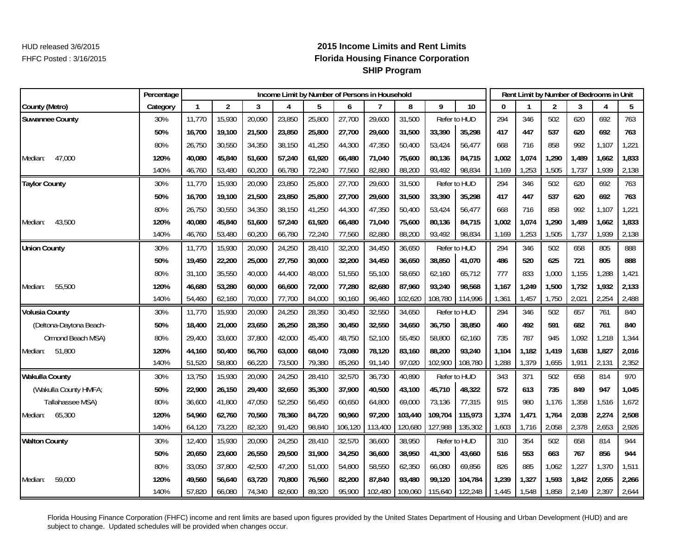# **2015 Income Limits and Rent Limits Florida Housing Finance Corporation SHIP Program**

|                         | Percentage |        |                |        |        |        |         | Income Limit by Number of Persons in Household |         |         |              |       |       |                |       | Rent Limit by Number of Bedrooms in Unit |       |
|-------------------------|------------|--------|----------------|--------|--------|--------|---------|------------------------------------------------|---------|---------|--------------|-------|-------|----------------|-------|------------------------------------------|-------|
| County (Metro)          | Category   | 1      | $\overline{2}$ | 3      | 4      | 5      | 6       |                                                | 8       | 9       | 10           | 0     |       | $\overline{2}$ | 3     | $\overline{4}$                           | 5     |
| <b>Suwannee County</b>  | 30%        | 11,770 | 15,930         | 20,090 | 23,850 | 25,800 | 27,700  | 29,600                                         | 31,500  |         | Refer to HUD | 294   | 346   | 502            | 620   | 692                                      | 763   |
|                         | 50%        | 16,700 | 19,100         | 21,500 | 23,850 | 25,800 | 27,700  | 29,600                                         | 31,500  | 33,390  | 35,298       | 417   | 447   | 537            | 620   | 692                                      | 763   |
|                         | 80%        | 26,750 | 30,550         | 34,350 | 38,150 | 41,250 | 44,300  | 47,350                                         | 50,400  | 53,424  | 56,477       | 668   | 716   | 858            | 992   | 1,107                                    | 1,221 |
| 47.000<br>Median:       | 120%       | 40,080 | 45,840         | 51,600 | 57,240 | 61,920 | 66,480  | 71,040                                         | 75,600  | 80,136  | 84,715       | 1,002 | 1,074 | 1,290          | 1.489 | 1,662                                    | 1,833 |
|                         | 140%       | 46,760 | 53,480         | 60,200 | 66,780 | 72,240 | 77,560  | 82,880                                         | 88,200  | 93,492  | 98,834       | 1,169 | 1,253 | 1,505          | 1,737 | 1,939                                    | 2,138 |
| <b>Taylor County</b>    | 30%        | 11,770 | 15,930         | 20,090 | 23,850 | 25,800 | 27,700  | 29,600                                         | 31,500  |         | Refer to HUD | 294   | 346   | 502            | 620   | 692                                      | 763   |
|                         | 50%        | 16,700 | 19,100         | 21,500 | 23,850 | 25,800 | 27,700  | 29,600                                         | 31,500  | 33,390  | 35,298       | 417   | 447   | 537            | 620   | 692                                      | 763   |
|                         | 80%        | 26,750 | 30,550         | 34,350 | 38,150 | 41,250 | 44,300  | 47,350                                         | 50,400  | 53,424  | 56,477       | 668   | 716   | 858            | 992   | 1,107                                    | 1,221 |
| 43,500<br>Median:       | 120%       | 40,080 | 45,840         | 51,600 | 57,240 | 61,920 | 66,480  | 71,040                                         | 75,600  | 80,136  | 84,715       | 1,002 | 1,074 | 1,290          | 1,489 | 1,662                                    | 1,833 |
|                         | 140%       | 46,760 | 53,480         | 60,200 | 66,780 | 72,240 | 77,560  | 82,880                                         | 88,200  | 93,492  | 98,834       | 1,169 | 1,253 | 1,505          | 1,737 | 1,939                                    | 2,138 |
| <b>Union County</b>     | 30%        | 11,770 | 15,930         | 20,090 | 24,250 | 28,410 | 32,200  | 34,450                                         | 36,650  |         | Refer to HUD | 294   | 346   | 502            | 658   | 805                                      | 888   |
|                         | 50%        | 19,450 | 22,200         | 25,000 | 27,750 | 30,000 | 32,200  | 34,450                                         | 36,650  | 38,850  | 41,070       | 486   | 520   | 625            | 721   | 805                                      | 888   |
|                         | 80%        | 31,100 | 35,550         | 40,000 | 44,400 | 48,000 | 51,550  | 55,100                                         | 58,650  | 62,160  | 65,712       | 777   | 833   | 1,000          | 1,155 | 1,288                                    | 1,421 |
| 55,500<br>Median:       | 120%       | 46,680 | 53,280         | 60,000 | 66,600 | 72,000 | 77,280  | 82,680                                         | 87,960  | 93,240  | 98,568       | 1,167 | 1,249 | 1,500          | 1,732 | 1,932                                    | 2,133 |
|                         | 140%       | 54,460 | 62,160         | 70,000 | 77,700 | 84,000 | 90,160  | 96,460                                         | 102,620 | 108,780 | 114,996      | 1,361 | 1,457 | 1,750          | 2,021 | 2,254                                    | 2,488 |
| <b>Volusia County</b>   | 30%        | 11,770 | 15,930         | 20,090 | 24,250 | 28,350 | 30,450  | 32,550                                         | 34,650  |         | Refer to HUD | 294   | 346   | 502            | 657   | 761                                      | 840   |
| (Deltona-Daytona Beach- | 50%        | 18,400 | 21,000         | 23,650 | 26,250 | 28,350 | 30,450  | 32,550                                         | 34,650  | 36,750  | 38,850       | 460   | 492   | 591            | 682   | 761                                      | 840   |
| Ormond Beach MSA)       | 80%        | 29,400 | 33,600         | 37,800 | 42,000 | 45,400 | 48,750  | 52,100                                         | 55,450  | 58,800  | 62,160       | 735   | 787   | 945            | 1,092 | 1,218                                    | 1,344 |
| 51,800<br>Median:       | 120%       | 44,160 | 50,400         | 56,760 | 63,000 | 68,040 | 73,080  | 78,120                                         | 83,160  | 88,200  | 93,240       | 1,104 | 1,182 | 1,419          | 1,638 | 1,827                                    | 2,016 |
|                         | 140%       | 51,520 | 58,800         | 66,220 | 73,500 | 79,380 | 85,260  | 91,140                                         | 97,020  | 102,900 | 108,780      | 1,288 | 1,379 | 1,655          | 1,911 | 2,131                                    | 2,352 |
| <b>Wakulla County</b>   | 30%        | 13,750 | 15,930         | 20,090 | 24,250 | 28,410 | 32,570  | 36,730                                         | 40,890  |         | Refer to HUD | 343   | 371   | 502            | 658   | 814                                      | 970   |
| (Wakulla County HMFA;   | 50%        | 22,900 | 26,150         | 29,400 | 32,650 | 35,300 | 37,900  | 40,500                                         | 43,100  | 45,710  | 48,322       | 572   | 613   | 735            | 849   | 947                                      | 1,045 |
| Tallahassee MSA)        | 80%        | 36,600 | 41,800         | 47,050 | 52,250 | 56,450 | 60,650  | 64,800                                         | 69,000  | 73,136  | 77,315       | 915   | 980   | 1,176          | 1,358 | 1,516                                    | 1,672 |
| 65,300<br>Median:       | 120%       | 54,960 | 62,760         | 70,560 | 78,360 | 84,720 | 90,960  | 97,200                                         | 103,440 | 109,704 | 115,973      | 1,374 | 1,471 | 1,764          | 2,038 | 2,274                                    | 2,508 |
|                         | 140%       | 64,120 | 73,220         | 82,320 | 91,420 | 98,840 | 106,120 | 113,400                                        | 120,680 | 127,988 | 135,302      | 1,603 | 1,716 | 2,058          | 2,378 | 2,653                                    | 2,926 |
| <b>Walton County</b>    | 30%        | 12,400 | 15,930         | 20,090 | 24,250 | 28,410 | 32,570  | 36,600                                         | 38,950  |         | Refer to HUD | 310   | 354   | 502            | 658   | 814                                      | 944   |
|                         | 50%        | 20,650 | 23,600         | 26,550 | 29,500 | 31,900 | 34,250  | 36,600                                         | 38,950  | 41,300  | 43,660       | 516   | 553   | 663            | 767   | 856                                      | 944   |
|                         | 80%        | 33,050 | 37,800         | 42,500 | 47,200 | 51,000 | 54,800  | 58,550                                         | 62,350  | 66,080  | 69,856       | 826   | 885   | 1,062          | 1,227 | 1,370                                    | 1,511 |
| 59,000<br>Median:       | 120%       | 49,560 | 56,640         | 63,720 | 70,800 | 76,560 | 82,200  | 87,840                                         | 93,480  | 99,120  | 104,784      | 1,239 | 1,327 | 1,593          | 1,842 | 2,055                                    | 2,266 |
|                         | 140%       | 57,820 | 66,080         | 74,340 | 82,600 | 89,320 | 95,900  | 102,480                                        | 109,060 | 115,640 | 122,248      | 1,445 | 1,548 | 1,858          | 2,149 | 2,397                                    | 2,644 |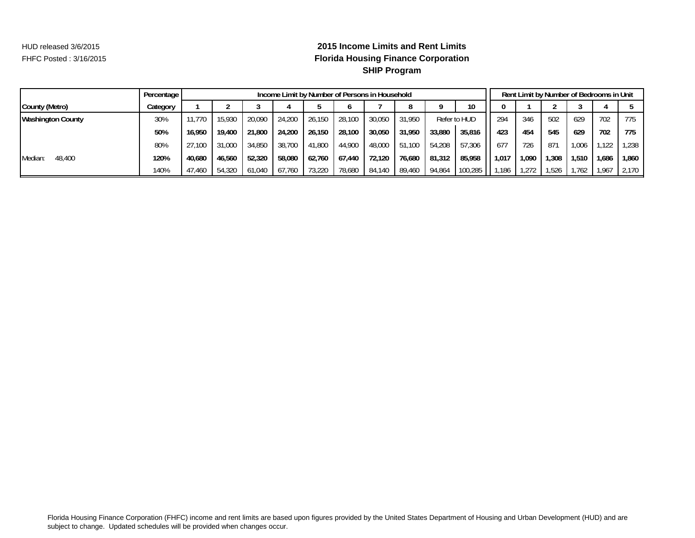# **2015 Income Limits and Rent Limits Florida Housing Finance Corporation SHIP Program**

|                          | Percentage |        |        |        |        |        |        | Income Limit by Number of Persons in Household |        |        |              |       |       |       |       | Rent Limit by Number of Bedrooms in Unit |       |
|--------------------------|------------|--------|--------|--------|--------|--------|--------|------------------------------------------------|--------|--------|--------------|-------|-------|-------|-------|------------------------------------------|-------|
| County (Metro)           | Category   |        |        |        |        |        |        |                                                |        |        | 10           |       |       |       |       |                                          |       |
| <b>Washington County</b> | 30%        | 11.770 | 15,930 | 20,090 | 24,200 | 26.150 | 28.100 | 30,050                                         | 31,950 |        | Refer to HUD | 294   | 346   | 502   | 629   | 702                                      | 775   |
|                          | 50%        | 16.950 | 19,400 | 21,800 | 24,200 | 26.150 | 28,100 | 30,050                                         | 31,950 | 33,880 | 35,816       | 423   | 454   | 545   | 629   | 702                                      | 775   |
|                          | 80%        | 27.100 | 31,000 | 34,850 | 38,700 | 41.800 | 44.900 | 48,000                                         | 51,100 | 54,208 | 57,306       | 677   | 726   | 871   | 1,006 | 1,122                                    | 1,238 |
| 48,400<br>Median:        | 120%       | 40.680 | 46.560 | 52,320 | 58,080 | 62.760 | 67.440 | 72.120                                         | 76,680 | 81,312 | 85,958       | 1.017 | 1.090 | .308  | 1.510 | 1,686                                    | 1.860 |
|                          | 140%       | 47.460 | 54,320 | 61,040 | 67.760 | 73.220 | 78.680 | 84.140                                         | 89.460 | 94,864 | 100,285      | ',186 | 1.272 | 1,526 | 1.762 | 1.967                                    | 2.170 |